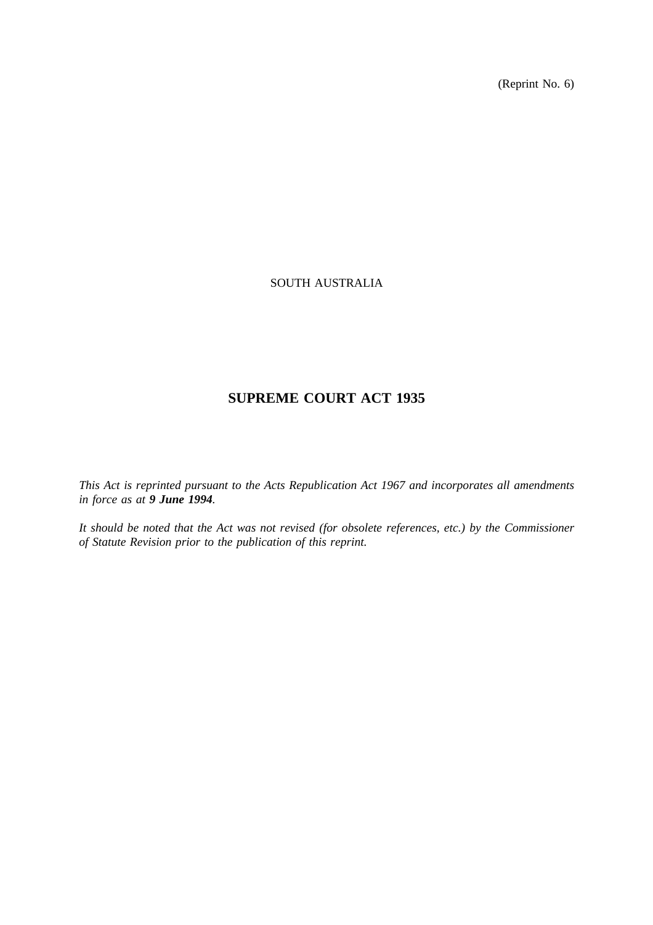(Reprint No. 6)

# SOUTH AUSTRALIA

# **SUPREME COURT ACT 1935**

*This Act is reprinted pursuant to the Acts Republication Act 1967 and incorporates all amendments in force as at 9 June 1994.*

*It should be noted that the Act was not revised (for obsolete references, etc.) by the Commissioner of Statute Revision prior to the publication of this reprint.*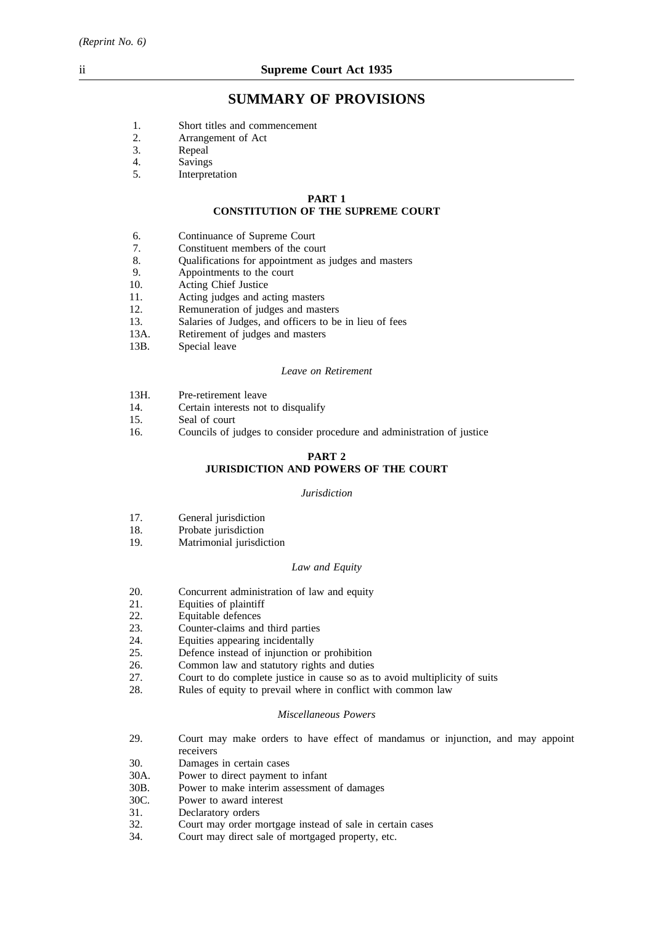# **SUMMARY OF PROVISIONS**

- 1. Short titles and commencement
- 2. Arrangement of Act<br>3. Repeal
- Repeal
- 4. Savings<br>5. Internee
- Interpretation

### **PART 1**

## **CONSTITUTION OF THE SUPREME COURT**

- 6. Continuance of Supreme Court
- 7. Constituent members of the court<br>8. Oualifications for appointment as
- 8. Qualifications for appointment as judges and masters<br>9. Appointments to the court
- 9. Appointments to the court<br>10. Acting Chief Justice
- 10. Acting Chief Justice<br>11 Acting judges and ac
- Acting judges and acting masters
- 12. Remuneration of judges and masters
- 13. Salaries of Judges, and officers to be in lieu of fees
- 13A. Retirement of judges and masters
- 13B. Special leave

#### *Leave on Retirement*

- 13H. Pre-retirement leave
- 14. Certain interests not to disqualify
- 15. Seal of court
- 16. Councils of judges to consider procedure and administration of justice

#### **PART 2 JURISDICTION AND POWERS OF THE COURT**

#### *Jurisdiction*

- 17. General jurisdiction
- 18. Probate jurisdiction
- 19. Matrimonial jurisdiction

#### *Law and Equity*

- 20. Concurrent administration of law and equity
- 21. Equities of plaintiff<br>22. Equitable defences
- 22. Equitable defences<br>23. Counter-claims and
- Counter-claims and third parties
- 24. Equities appearing incidentally
- 25. Defence instead of injunction or prohibition
- 26. Common law and statutory rights and duties
- 27. Court to do complete justice in cause so as to avoid multiplicity of suits
- 28. Rules of equity to prevail where in conflict with common law

### *Miscellaneous Powers*

- 29. Court may make orders to have effect of mandamus or injunction, and may appoint receivers
- 30. Damages in certain cases
- 30A. Power to direct payment to infant
- 30B. Power to make interim assessment of damages 30C. Power to award interest
- Power to award interest
- 31. Declaratory orders<br>32. Court may order m
- 32. Court may order mortgage instead of sale in certain cases<br>34. Court may direct sale of mortgaged property, etc.
- Court may direct sale of mortgaged property, etc.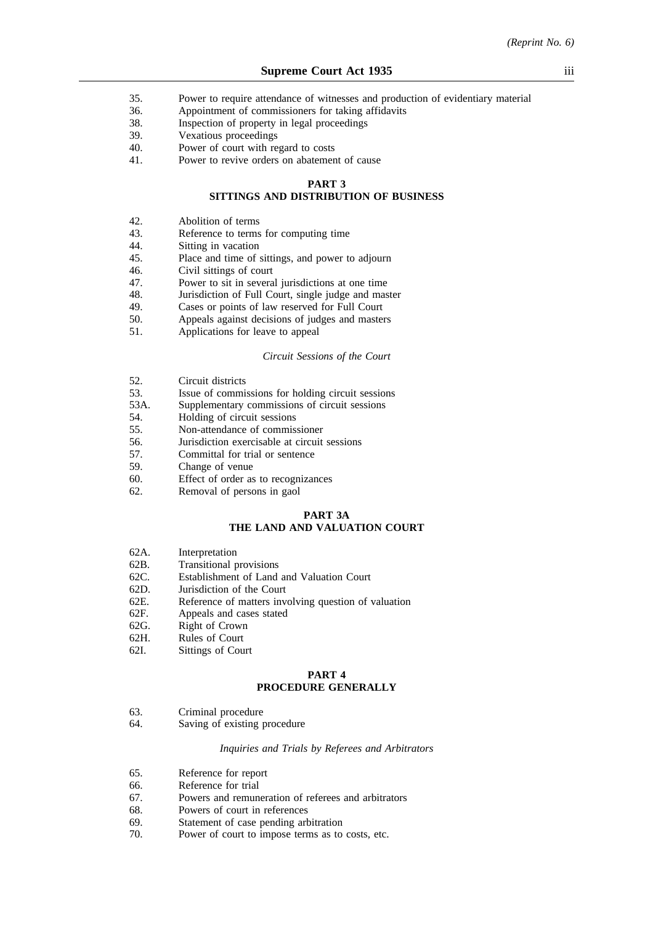- 35. Power to require attendance of witnesses and production of evidentiary material
- 36. Appointment of commissioners for taking affidavits
- 38. Inspection of property in legal proceedings
- 39. Vexatious proceedings
- 40. Power of court with regard to costs
- 41. Power to revive orders on abatement of cause

#### **PART 3**

#### **SITTINGS AND DISTRIBUTION OF BUSINESS**

- 42. Abolition of terms
- 43. Reference to terms for computing time
- 44. Sitting in vacation
- 45. Place and time of sittings, and power to adjourn
- 46. Civil sittings of court<br>47. Power to sit in several
- 47. Power to sit in several jurisdictions at one time 48. Jurisdiction of Full Court, single judge and mas
- 48. Jurisdiction of Full Court, single judge and master 49. Cases or points of law reserved for Full Court
- 49. Cases or points of law reserved for Full Court 50. Appeals against decisions of judges and master
- Appeals against decisions of judges and masters
- 51. Applications for leave to appeal

#### *Circuit Sessions of the Court*

- 52. Circuit districts<br>53. Issue of commi
- 53. Issue of commissions for holding circuit sessions<br>53A Supplementary commissions of circuit sessions
- 53A. Supplementary commissions of circuit sessions<br>54 Holding of circuit sessions
- 54. Holding of circuit sessions<br>55 Non-attendance of commiss
- 55. Non-attendance of commissioner
- 56. Jurisdiction exercisable at circuit sessions
- 57. Committal for trial or sentence
- 59. Change of venue
- 60. Effect of order as to recognizances
- 62. Removal of persons in gaol

### **PART 3A**

### **THE LAND AND VALUATION COURT**

- 62A. Interpretation
- 62B. Transitional provisions
- 62C. Establishment of Land and Valuation Court
- 62D. Jurisdiction of the Court
- 62E. Reference of matters involving question of valuation
- 62F. Appeals and cases stated
- 62G. Right of Crown
- 62H. Rules of Court
- 62I. Sittings of Court

#### **PART 4 PROCEDURE GENERALLY**

- 63. Criminal procedure
- 64. Saving of existing procedure

#### *Inquiries and Trials by Referees and Arbitrators*

- 65. Reference for report
- 66. Reference for trial
- 67. Powers and remuneration of referees and arbitrators
- 68. Powers of court in references
- 69. Statement of case pending arbitration<br>70. Power of court to impose terms as to
- Power of court to impose terms as to costs, etc.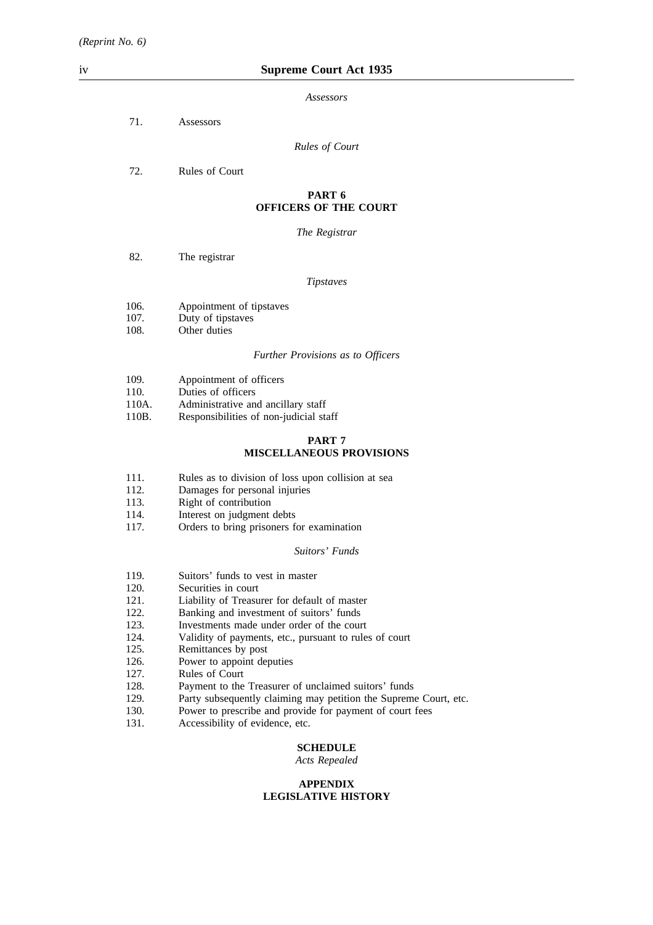### iv **Supreme Court Act 1935**

#### *Assessors*

71. Assessors

*Rules of Court*

72. Rules of Court

#### **PART 6 OFFICERS OF THE COURT**

#### *The Registrar*

| 82. | The registrar |  |
|-----|---------------|--|
|-----|---------------|--|

#### *Tipstaves*

- 106. Appointment of tipstaves
- 107. Duty of tipstaves
- 108. Other duties

#### *Further Provisions as to Officers*

- 109. Appointment of officers<br>110. Duties of officers
- 110. Duties of officers<br>110A. Administrative and
- Administrative and ancillary staff
- 110B. Responsibilities of non-judicial staff

### **PART 7 MISCELLANEOUS PROVISIONS**

- 111. Rules as to division of loss upon collision at sea
- 112. Damages for personal injuries
- 113. Right of contribution
- 114. Interest on judgment debts
- 117. Orders to bring prisoners for examination

#### *Suitors' Funds*

- 119. Suitors' funds to vest in master
- 120. Securities in court<br>121. Liability of Treasu
- Liability of Treasurer for default of master
- 122. Banking and investment of suitors' funds
- 123. Investments made under order of the court
- 124. Validity of payments, etc., pursuant to rules of court
- 125. Remittances by post
- 126. Power to appoint deputies
- 
- 127. Rules of Court<br>128. Payment to the 128. Payment to the Treasurer of unclaimed suitors' funds 129. Party subsequently claiming may petition the Supreme
- 129. Party subsequently claiming may petition the Supreme Court, etc.<br>130. Power to prescribe and provide for payment of court fees
- 130. Power to prescribe and provide for payment of court fees<br>131. Accessibility of evidence, etc.
- Accessibility of evidence, etc.

### **SCHEDULE**

#### *Acts Repealed*

### **APPENDIX LEGISLATIVE HISTORY**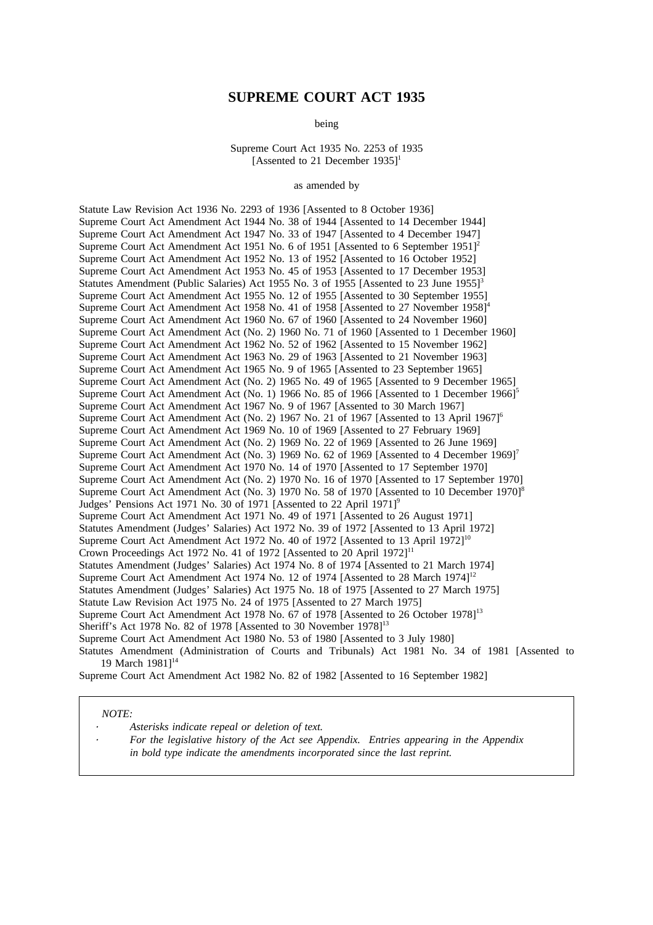# **SUPREME COURT ACT 1935**

being

Supreme Court Act 1935 No. 2253 of 1935 [Assented to 21 December  $1935$ ]<sup>1</sup>

as amended by

Statute Law Revision Act 1936 No. 2293 of 1936 [Assented to 8 October 1936] Supreme Court Act Amendment Act 1944 No. 38 of 1944 [Assented to 14 December 1944] Supreme Court Act Amendment Act 1947 No. 33 of 1947 [Assented to 4 December 1947] Supreme Court Act Amendment Act 1951 No. 6 of 1951 [Assented to 6 September 1951]<sup>2</sup> Supreme Court Act Amendment Act 1952 No. 13 of 1952 [Assented to 16 October 1952] Supreme Court Act Amendment Act 1953 No. 45 of 1953 [Assented to 17 December 1953] Statutes Amendment (Public Salaries) Act 1955 No. 3 of 1955 [Assented to 23 June 1955]<sup>3</sup> Supreme Court Act Amendment Act 1955 No. 12 of 1955 [Assented to 30 September 1955] Supreme Court Act Amendment Act 1958 No. 41 of 1958 [Assented to 27 November 1958]<sup>4</sup> Supreme Court Act Amendment Act 1960 No. 67 of 1960 [Assented to 24 November 1960] Supreme Court Act Amendment Act (No. 2) 1960 No. 71 of 1960 [Assented to 1 December 1960] Supreme Court Act Amendment Act 1962 No. 52 of 1962 [Assented to 15 November 1962] Supreme Court Act Amendment Act 1963 No. 29 of 1963 [Assented to 21 November 1963] Supreme Court Act Amendment Act 1965 No. 9 of 1965 [Assented to 23 September 1965] Supreme Court Act Amendment Act (No. 2) 1965 No. 49 of 1965 [Assented to 9 December 1965] Supreme Court Act Amendment Act (No. 1) 1966 No. 85 of 1966 [Assented to 1 December 1966]<sup>5</sup> Supreme Court Act Amendment Act 1967 No. 9 of 1967 [Assented to 30 March 1967] Supreme Court Act Amendment Act (No. 2) 1967 No. 21 of 1967 [Assented to 13 April 1967]<sup>6</sup> Supreme Court Act Amendment Act 1969 No. 10 of 1969 [Assented to 27 February 1969] Supreme Court Act Amendment Act (No. 2) 1969 No. 22 of 1969 [Assented to 26 June 1969] Supreme Court Act Amendment Act (No. 3) 1969 No. 62 of 1969 [Assented to 4 December 1969]<sup>7</sup> Supreme Court Act Amendment Act 1970 No. 14 of 1970 [Assented to 17 September 1970] Supreme Court Act Amendment Act (No. 2) 1970 No. 16 of 1970 [Assented to 17 September 1970] Supreme Court Act Amendment Act (No. 3) 1970 No. 58 of 1970 [Assented to 10 December 1970]<sup>8</sup> Judges' Pensions Act 1971 No. 30 of 1971 [Assented to 22 April 1971]<sup>9</sup> Supreme Court Act Amendment Act 1971 No. 49 of 1971 [Assented to 26 August 1971] Statutes Amendment (Judges' Salaries) Act 1972 No. 39 of 1972 [Assented to 13 April 1972] Supreme Court Act Amendment Act 1972 No. 40 of 1972 [Assented to 13 April 1972]<sup>10</sup> Crown Proceedings Act 1972 No. 41 of 1972 [Assented to 20 April 1972]<sup>11</sup> Statutes Amendment (Judges' Salaries) Act 1974 No. 8 of 1974 [Assented to 21 March 1974] Supreme Court Act Amendment Act 1974 No. 12 of 1974 [Assented to 28 March 1974]<sup>12</sup> Statutes Amendment (Judges' Salaries) Act 1975 No. 18 of 1975 [Assented to 27 March 1975] Statute Law Revision Act 1975 No. 24 of 1975 [Assented to 27 March 1975] Supreme Court Act Amendment Act 1978 No. 67 of 1978 [Assented to 26 October 1978]<sup>13</sup> Sheriff's Act 1978 No. 82 of 1978 [Assented to 30 November 1978]<sup>13</sup> Supreme Court Act Amendment Act 1980 No. 53 of 1980 [Assented to 3 July 1980] Statutes Amendment (Administration of Courts and Tribunals) Act 1981 No. 34 of 1981 [Assented to 19 March 1981]<sup>14</sup>

Supreme Court Act Amendment Act 1982 No. 82 of 1982 [Assented to 16 September 1982]

#### *NOTE:*

*Asterisks indicate repeal or deletion of text.*

*For the legislative history of the Act see Appendix. Entries appearing in the Appendix in bold type indicate the amendments incorporated since the last reprint.*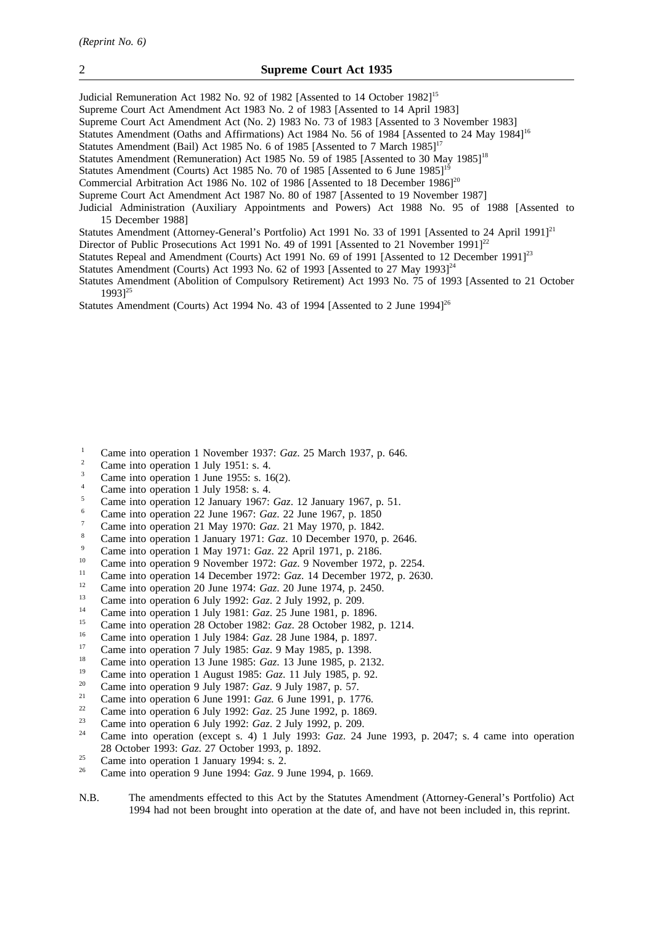Judicial Remuneration Act 1982 No. 92 of 1982 [Assented to 14 October 1982]<sup>15</sup> Supreme Court Act Amendment Act 1983 No. 2 of 1983 [Assented to 14 April 1983] Supreme Court Act Amendment Act (No. 2) 1983 No. 73 of 1983 [Assented to 3 November 1983] Statutes Amendment (Oaths and Affirmations) Act 1984 No. 56 of 1984 [Assented to 24 May 1984]<sup>16</sup> Statutes Amendment (Bail) Act 1985 No. 6 of 1985 [Assented to 7 March 1985]<sup>17</sup> Statutes Amendment (Remuneration) Act 1985 No. 59 of 1985 [Assented to 30 May 1985]<sup>18</sup> Statutes Amendment (Courts) Act 1985 No. 70 of 1985 [Assented to 6 June  $1985$ ]<sup>19</sup> Commercial Arbitration Act 1986 No. 102 of 1986 [Assented to 18 December 1986]<sup>20</sup> Supreme Court Act Amendment Act 1987 No. 80 of 1987 [Assented to 19 November 1987] Judicial Administration (Auxiliary Appointments and Powers) Act 1988 No. 95 of 1988 [Assented to 15 December 1988] Statutes Amendment (Attorney-General's Portfolio) Act 1991 No. 33 of 1991 [Assented to 24 April 1991]<sup>21</sup>

Director of Public Prosecutions Act 1991 No. 49 of 1991 [Assented to 21 November 1991]<sup>22</sup>

Statutes Repeal and Amendment (Courts) Act 1991 No. 69 of 1991 [Assented to 12 December 1991]<sup>23</sup>

Statutes Amendment (Courts) Act 1993 No. 62 of 1993 [Assented to 27 May 1993]<sup>24</sup>

Statutes Amendment (Abolition of Compulsory Retirement) Act 1993 No. 75 of 1993 [Assented to 21 October 1993<sup>25</sup>

Statutes Amendment (Courts) Act 1994 No. 43 of 1994 [Assented to 2 June 1994]<sup>26</sup>

- <sup>1</sup> Came into operation 1 November 1937: *Gaz*. 25 March 1937, p. 646.
- <sup>2</sup> Came into operation 1 July 1951: s. 4.<br>Come into operation 1 June 1955: s. 16
- $\frac{3}{4}$  Came into operation 1 June 1955: s. 16(2).
- <sup>4</sup> Came into operation 1 July 1958: s. 4.<br>  $\frac{5}{2}$  Come into operation 12 January 1967.
- <sup>5</sup> Came into operation 12 January 1967: *Gaz*. 12 January 1967, p. 51.
- <sup>6</sup> Came into operation 22 June 1967: *Gaz*. 22 June 1967, p. 1850
- <sup>7</sup> Came into operation 21 May 1970: *Gaz*. 21 May 1970, p. 1842.
- <sup>8</sup> Came into operation 1 January 1971: *Gaz*. 10 December 1970, p. 2646.
- <sup>9</sup> Came into operation 1 May 1971: *Gaz*. 22 April 1971, p. 2186.
- <sup>10</sup> Came into operation 9 November 1972: *Gaz.* 9 November 1972, p. 2254.
- <sup>11</sup> Came into operation 14 December 1972: *Gaz*. 14 December 1972, p. 2630.
- <sup>12</sup> Came into operation 20 June 1974: *Gaz*. 20 June 1974, p. 2450.<br><sup>13</sup> Came into operation 6 July 1993: *Gaz*. 2 July 1993, p. 209.
- <sup>13</sup> Came into operation 6 July 1992: *Gaz*. 2 July 1992, p. 209.
- <sup>14</sup> Came into operation 1 July 1981: *Gaz*. 25 June 1981, p. 1896.
- <sup>15</sup> Came into operation 28 October 1982: *Gaz*. 28 October 1982, p. 1214.
- <sup>16</sup> Came into operation 1 July 1984: *Gaz*. 28 June 1984, p. 1897.<br><sup>17</sup> Came into operation 7 July 1985: *Gaz*. 9 May 1985, p. 1398.
- <sup>17</sup> Came into operation 7 July 1985: *Gaz*. 9 May 1985, p. 1398.
- <sup>18</sup> Came into operation 13 June 1985: *Gaz*. 13 June 1985, p. 2132.
- <sup>19</sup> Came into operation 1 August 1985: *Gaz*. 11 July 1985, p. 92.<br><sup>20</sup> Came into operation 0 July 1987: *Gaz*. 0 July 1987, p. 57
- <sup>20</sup> Came into operation 9 July 1987: *Gaz*. 9 July 1987, p. 57.<br><sup>21</sup> Came into operation 6 June 1991: *Gaz*. 6 June 1991, p. 17<sup>2</sup>
- <sup>21</sup> Came into operation 6 June 1991: *Gaz.* 6 June 1991, p. 1776.
- <sup>22</sup> Came into operation 6 July 1992: *Gaz*. 25 June 1992, p. 1869.<br><sup>23</sup> Came into against 6 July 1992: *Gaz*. 2 July 1992, p. 200
- <sup>23</sup> Came into operation 6 July 1992: *Gaz*. 2 July 1992, p. 209.<br><sup>24</sup> Came into operation (overate 4) 1 July 1993: *Caz*. 24
- <sup>24</sup> Came into operation (except s. 4) 1 July 1993: *Gaz*. 24 June 1993, p. 2047; s. 4 came into operation 28 October 1993: *Gaz*. 27 October 1993, p. 1892.
- <sup>25</sup> Came into operation 1 January 1994: s. 2.<br><sup>26</sup> Came into operation 0 June 1004:  $Ca = 0.25$
- <sup>26</sup> Came into operation 9 June 1994: *Gaz*. 9 June 1994, p. 1669.
- N.B. The amendments effected to this Act by the Statutes Amendment (Attorney-General's Portfolio) Act 1994 had not been brought into operation at the date of, and have not been included in, this reprint.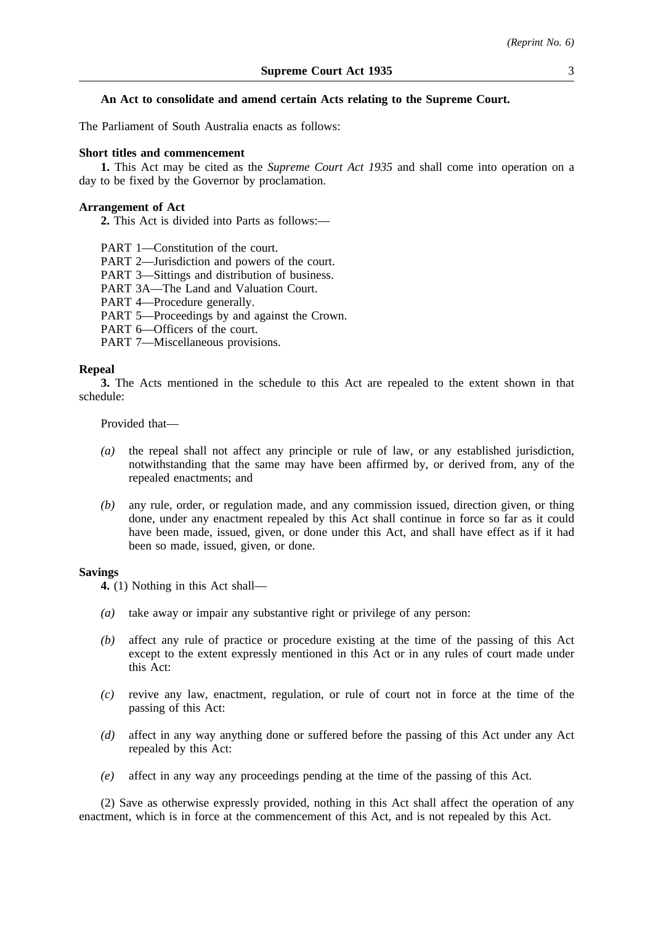The Parliament of South Australia enacts as follows:

### **Short titles and commencement**

**1.** This Act may be cited as the *Supreme Court Act 1935* and shall come into operation on a day to be fixed by the Governor by proclamation.

### **Arrangement of Act**

**2.** This Act is divided into Parts as follows:—

PART 1—Constitution of the court.

PART 2—Jurisdiction and powers of the court.

PART 3—Sittings and distribution of business.

PART 3A—The Land and Valuation Court.

PART 4—Procedure generally.

PART 5—Proceedings by and against the Crown.

PART 6—Officers of the court.

PART 7—Miscellaneous provisions.

#### **Repeal**

**3.** The Acts mentioned in the schedule to this Act are repealed to the extent shown in that schedule:

Provided that—

- *(a)* the repeal shall not affect any principle or rule of law, or any established jurisdiction, notwithstanding that the same may have been affirmed by, or derived from, any of the repealed enactments; and
- *(b)* any rule, order, or regulation made, and any commission issued, direction given, or thing done, under any enactment repealed by this Act shall continue in force so far as it could have been made, issued, given, or done under this Act, and shall have effect as if it had been so made, issued, given, or done.

### **Savings**

**4.** (1) Nothing in this Act shall—

- *(a)* take away or impair any substantive right or privilege of any person:
- *(b)* affect any rule of practice or procedure existing at the time of the passing of this Act except to the extent expressly mentioned in this Act or in any rules of court made under this Act:
- *(c)* revive any law, enactment, regulation, or rule of court not in force at the time of the passing of this Act:
- *(d)* affect in any way anything done or suffered before the passing of this Act under any Act repealed by this Act:
- *(e)* affect in any way any proceedings pending at the time of the passing of this Act.

(2) Save as otherwise expressly provided, nothing in this Act shall affect the operation of any enactment, which is in force at the commencement of this Act, and is not repealed by this Act.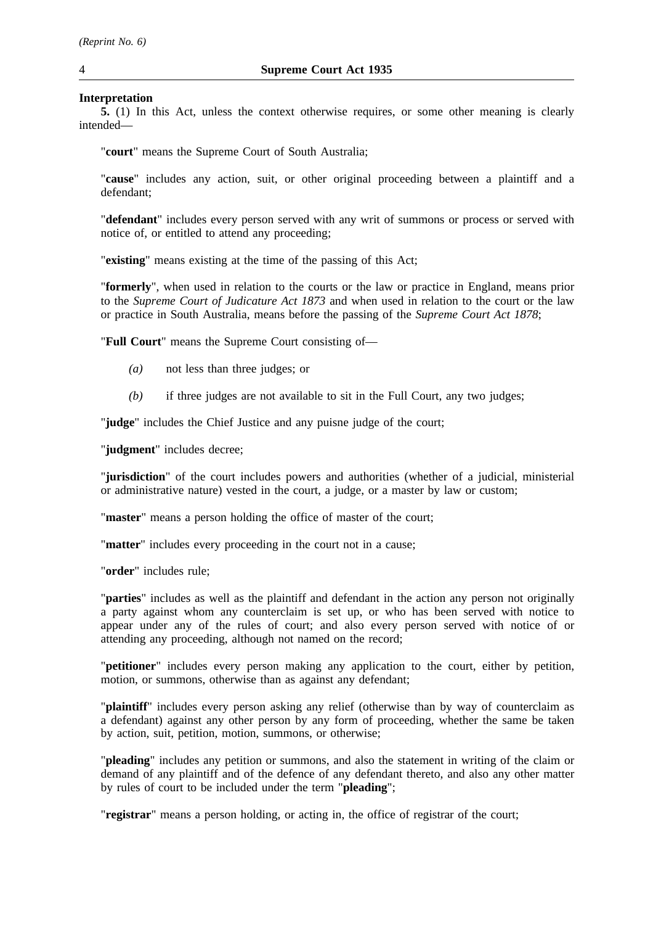### **Interpretation**

**5.** (1) In this Act, unless the context otherwise requires, or some other meaning is clearly intended—

"**court**" means the Supreme Court of South Australia;

"**cause**" includes any action, suit, or other original proceeding between a plaintiff and a defendant;

"**defendant**" includes every person served with any writ of summons or process or served with notice of, or entitled to attend any proceeding;

"**existing**" means existing at the time of the passing of this Act;

"**formerly**", when used in relation to the courts or the law or practice in England, means prior to the *Supreme Court of Judicature Act 1873* and when used in relation to the court or the law or practice in South Australia, means before the passing of the *Supreme Court Act 1878*;

"**Full Court**" means the Supreme Court consisting of—

- *(a)* not less than three judges; or
- *(b)* if three judges are not available to sit in the Full Court, any two judges;

"**judge**" includes the Chief Justice and any puisne judge of the court;

"**judgment**" includes decree;

"**jurisdiction**" of the court includes powers and authorities (whether of a judicial, ministerial or administrative nature) vested in the court, a judge, or a master by law or custom;

"**master**" means a person holding the office of master of the court;

"**matter**" includes every proceeding in the court not in a cause;

"**order**" includes rule;

"**parties**" includes as well as the plaintiff and defendant in the action any person not originally a party against whom any counterclaim is set up, or who has been served with notice to appear under any of the rules of court; and also every person served with notice of or attending any proceeding, although not named on the record;

"**petitioner**" includes every person making any application to the court, either by petition, motion, or summons, otherwise than as against any defendant;

"**plaintiff**" includes every person asking any relief (otherwise than by way of counterclaim as a defendant) against any other person by any form of proceeding, whether the same be taken by action, suit, petition, motion, summons, or otherwise;

"**pleading**" includes any petition or summons, and also the statement in writing of the claim or demand of any plaintiff and of the defence of any defendant thereto, and also any other matter by rules of court to be included under the term "**pleading**";

"**registrar**" means a person holding, or acting in, the office of registrar of the court;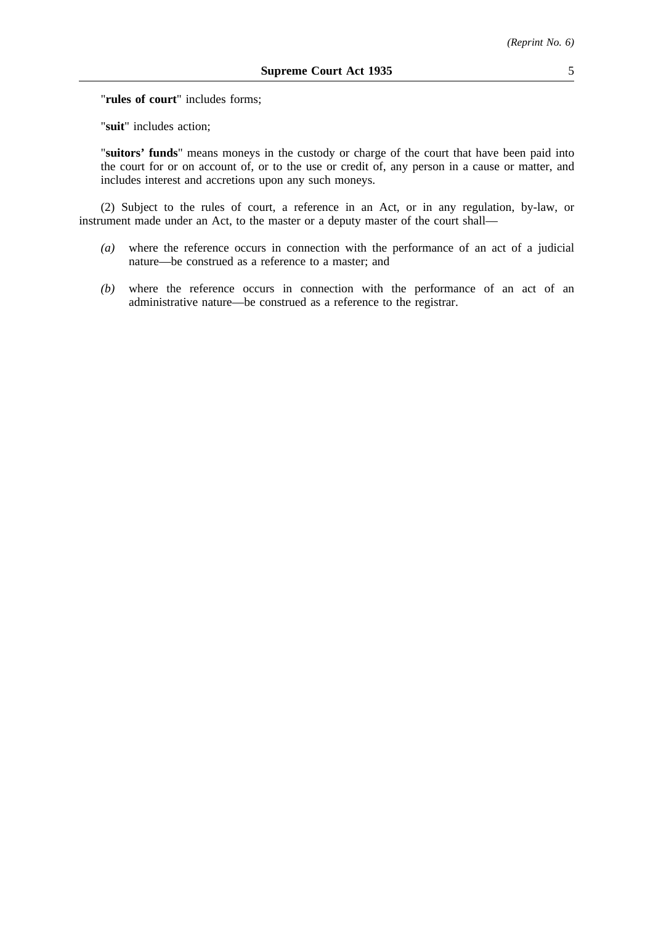"**rules of court**" includes forms;

"**suit**" includes action;

"**suitors' funds**" means moneys in the custody or charge of the court that have been paid into the court for or on account of, or to the use or credit of, any person in a cause or matter, and includes interest and accretions upon any such moneys.

(2) Subject to the rules of court, a reference in an Act, or in any regulation, by-law, or instrument made under an Act, to the master or a deputy master of the court shall—

- *(a)* where the reference occurs in connection with the performance of an act of a judicial nature—be construed as a reference to a master; and
- *(b)* where the reference occurs in connection with the performance of an act of an administrative nature—be construed as a reference to the registrar.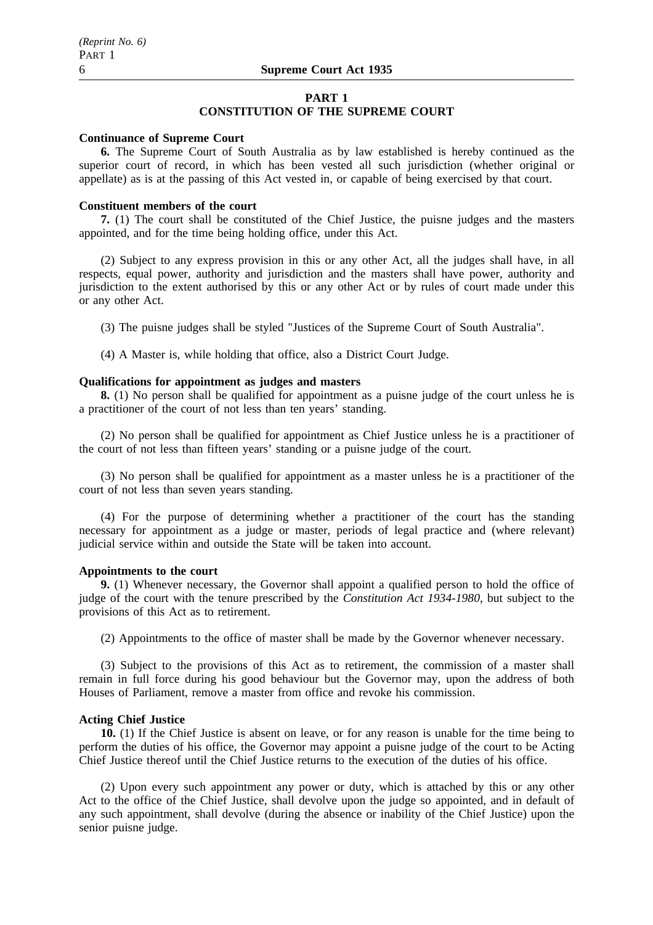#### **PART 1**

# **CONSTITUTION OF THE SUPREME COURT**

#### **Continuance of Supreme Court**

**6.** The Supreme Court of South Australia as by law established is hereby continued as the superior court of record, in which has been vested all such jurisdiction (whether original or appellate) as is at the passing of this Act vested in, or capable of being exercised by that court.

#### **Constituent members of the court**

**7.** (1) The court shall be constituted of the Chief Justice, the puisne judges and the masters appointed, and for the time being holding office, under this Act.

(2) Subject to any express provision in this or any other Act, all the judges shall have, in all respects, equal power, authority and jurisdiction and the masters shall have power, authority and jurisdiction to the extent authorised by this or any other Act or by rules of court made under this or any other Act.

(3) The puisne judges shall be styled "Justices of the Supreme Court of South Australia".

(4) A Master is, while holding that office, also a District Court Judge.

#### **Qualifications for appointment as judges and masters**

**8.** (1) No person shall be qualified for appointment as a puisne judge of the court unless he is a practitioner of the court of not less than ten years' standing.

(2) No person shall be qualified for appointment as Chief Justice unless he is a practitioner of the court of not less than fifteen years' standing or a puisne judge of the court.

(3) No person shall be qualified for appointment as a master unless he is a practitioner of the court of not less than seven years standing.

(4) For the purpose of determining whether a practitioner of the court has the standing necessary for appointment as a judge or master, periods of legal practice and (where relevant) judicial service within and outside the State will be taken into account.

### **Appointments to the court**

**9.** (1) Whenever necessary, the Governor shall appoint a qualified person to hold the office of judge of the court with the tenure prescribed by the *Constitution Act 1934-1980*, but subject to the provisions of this Act as to retirement.

(2) Appointments to the office of master shall be made by the Governor whenever necessary.

(3) Subject to the provisions of this Act as to retirement, the commission of a master shall remain in full force during his good behaviour but the Governor may, upon the address of both Houses of Parliament, remove a master from office and revoke his commission.

#### **Acting Chief Justice**

**10.** (1) If the Chief Justice is absent on leave, or for any reason is unable for the time being to perform the duties of his office, the Governor may appoint a puisne judge of the court to be Acting Chief Justice thereof until the Chief Justice returns to the execution of the duties of his office.

(2) Upon every such appointment any power or duty, which is attached by this or any other Act to the office of the Chief Justice, shall devolve upon the judge so appointed, and in default of any such appointment, shall devolve (during the absence or inability of the Chief Justice) upon the senior puisne judge.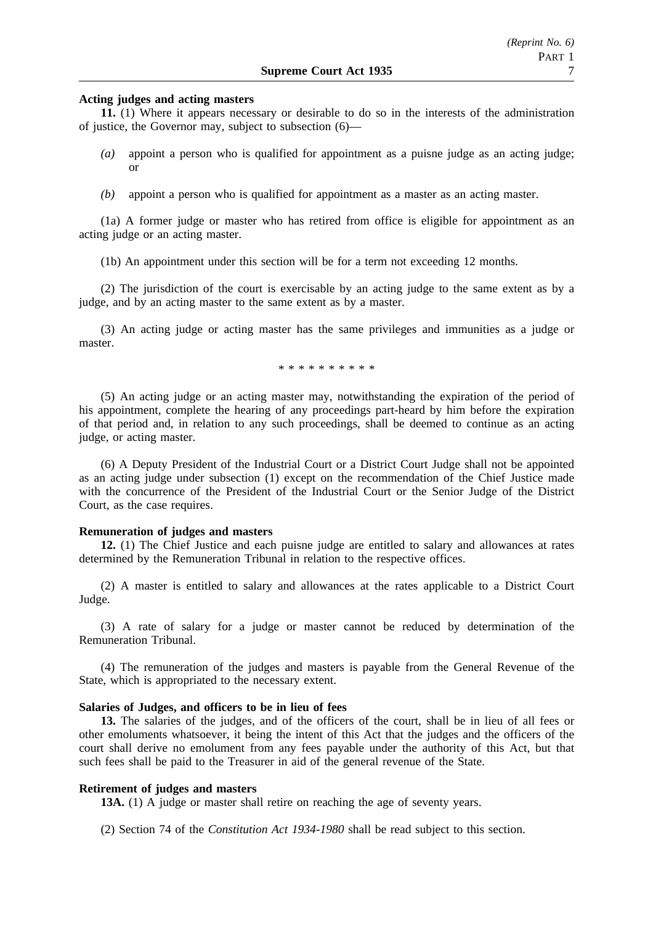#### **Acting judges and acting masters**

**11.** (1) Where it appears necessary or desirable to do so in the interests of the administration of justice, the Governor may, subject to subsection (6)—

- $(a)$  appoint a person who is qualified for appointment as a puisne judge as an acting judge; or
- *(b)* appoint a person who is qualified for appointment as a master as an acting master.

(1a) A former judge or master who has retired from office is eligible for appointment as an acting judge or an acting master.

(1b) An appointment under this section will be for a term not exceeding 12 months.

(2) The jurisdiction of the court is exercisable by an acting judge to the same extent as by a judge, and by an acting master to the same extent as by a master.

(3) An acting judge or acting master has the same privileges and immunities as a judge or master.

\*\*\*\*\*\*\*\*\*\*

(5) An acting judge or an acting master may, notwithstanding the expiration of the period of his appointment, complete the hearing of any proceedings part-heard by him before the expiration of that period and, in relation to any such proceedings, shall be deemed to continue as an acting judge, or acting master.

(6) A Deputy President of the Industrial Court or a District Court Judge shall not be appointed as an acting judge under subsection (1) except on the recommendation of the Chief Justice made with the concurrence of the President of the Industrial Court or the Senior Judge of the District Court, as the case requires.

#### **Remuneration of judges and masters**

**12.** (1) The Chief Justice and each puisne judge are entitled to salary and allowances at rates determined by the Remuneration Tribunal in relation to the respective offices.

(2) A master is entitled to salary and allowances at the rates applicable to a District Court Judge.

(3) A rate of salary for a judge or master cannot be reduced by determination of the Remuneration Tribunal.

(4) The remuneration of the judges and masters is payable from the General Revenue of the State, which is appropriated to the necessary extent.

### **Salaries of Judges, and officers to be in lieu of fees**

**13.** The salaries of the judges, and of the officers of the court, shall be in lieu of all fees or other emoluments whatsoever, it being the intent of this Act that the judges and the officers of the court shall derive no emolument from any fees payable under the authority of this Act, but that such fees shall be paid to the Treasurer in aid of the general revenue of the State.

#### **Retirement of judges and masters**

**13A.** (1) A judge or master shall retire on reaching the age of seventy years.

(2) Section 74 of the *Constitution Act 1934-1980* shall be read subject to this section.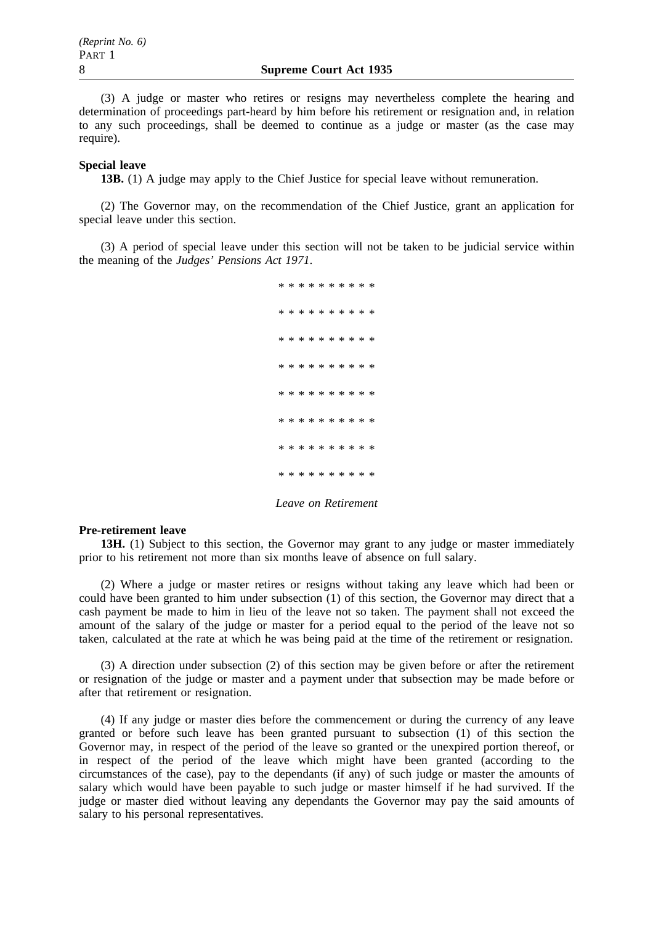(3) A judge or master who retires or resigns may nevertheless complete the hearing and determination of proceedings part-heard by him before his retirement or resignation and, in relation to any such proceedings, shall be deemed to continue as a judge or master (as the case may require).

#### **Special leave**

**13B.** (1) A judge may apply to the Chief Justice for special leave without remuneration.

(2) The Governor may, on the recommendation of the Chief Justice, grant an application for special leave under this section.

(3) A period of special leave under this section will not be taken to be judicial service within the meaning of the *Judges' Pensions Act 1971*.



#### **Pre-retirement leave**

13H. (1) Subject to this section, the Governor may grant to any judge or master immediately prior to his retirement not more than six months leave of absence on full salary.

(2) Where a judge or master retires or resigns without taking any leave which had been or could have been granted to him under subsection (1) of this section, the Governor may direct that a cash payment be made to him in lieu of the leave not so taken. The payment shall not exceed the amount of the salary of the judge or master for a period equal to the period of the leave not so taken, calculated at the rate at which he was being paid at the time of the retirement or resignation.

(3) A direction under subsection (2) of this section may be given before or after the retirement or resignation of the judge or master and a payment under that subsection may be made before or after that retirement or resignation.

(4) If any judge or master dies before the commencement or during the currency of any leave granted or before such leave has been granted pursuant to subsection (1) of this section the Governor may, in respect of the period of the leave so granted or the unexpired portion thereof, or in respect of the period of the leave which might have been granted (according to the circumstances of the case), pay to the dependants (if any) of such judge or master the amounts of salary which would have been payable to such judge or master himself if he had survived. If the judge or master died without leaving any dependants the Governor may pay the said amounts of salary to his personal representatives.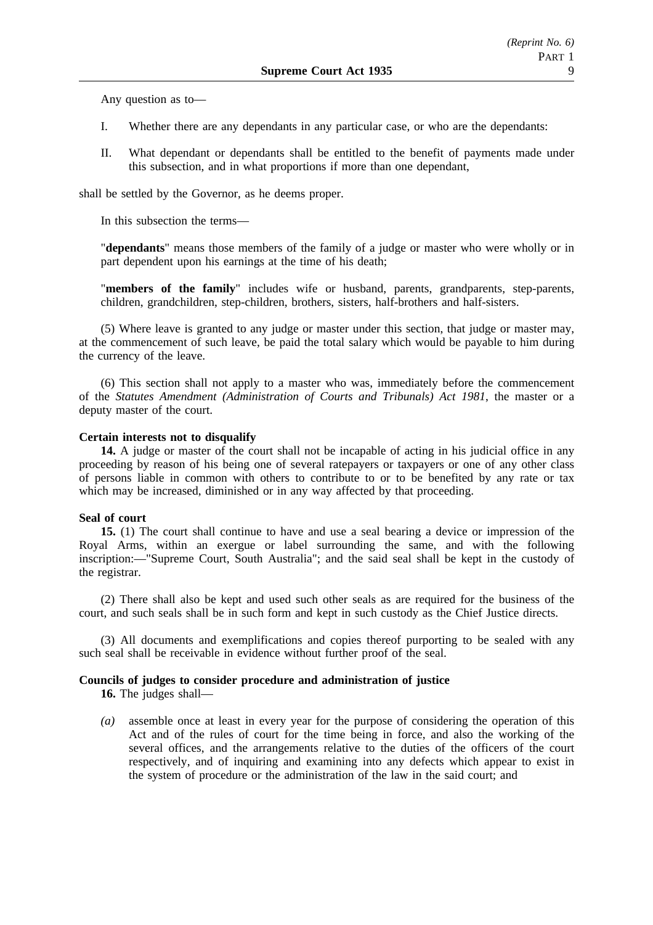Any question as to—

- I. Whether there are any dependants in any particular case, or who are the dependants:
- II. What dependant or dependants shall be entitled to the benefit of payments made under this subsection, and in what proportions if more than one dependant,

shall be settled by the Governor, as he deems proper.

In this subsection the terms—

"**dependants**" means those members of the family of a judge or master who were wholly or in part dependent upon his earnings at the time of his death;

"**members of the family**" includes wife or husband, parents, grandparents, step-parents, children, grandchildren, step-children, brothers, sisters, half-brothers and half-sisters.

(5) Where leave is granted to any judge or master under this section, that judge or master may, at the commencement of such leave, be paid the total salary which would be payable to him during the currency of the leave.

(6) This section shall not apply to a master who was, immediately before the commencement of the *Statutes Amendment (Administration of Courts and Tribunals) Act 1981*, the master or a deputy master of the court.

#### **Certain interests not to disqualify**

**14.** A judge or master of the court shall not be incapable of acting in his judicial office in any proceeding by reason of his being one of several ratepayers or taxpayers or one of any other class of persons liable in common with others to contribute to or to be benefited by any rate or tax which may be increased, diminished or in any way affected by that proceeding.

### **Seal of court**

**15.** (1) The court shall continue to have and use a seal bearing a device or impression of the Royal Arms, within an exergue or label surrounding the same, and with the following inscription:—"Supreme Court, South Australia"; and the said seal shall be kept in the custody of the registrar.

(2) There shall also be kept and used such other seals as are required for the business of the court, and such seals shall be in such form and kept in such custody as the Chief Justice directs.

(3) All documents and exemplifications and copies thereof purporting to be sealed with any such seal shall be receivable in evidence without further proof of the seal.

# **Councils of judges to consider procedure and administration of justice**

**16.** The judges shall—

*(a)* assemble once at least in every year for the purpose of considering the operation of this Act and of the rules of court for the time being in force, and also the working of the several offices, and the arrangements relative to the duties of the officers of the court respectively, and of inquiring and examining into any defects which appear to exist in the system of procedure or the administration of the law in the said court; and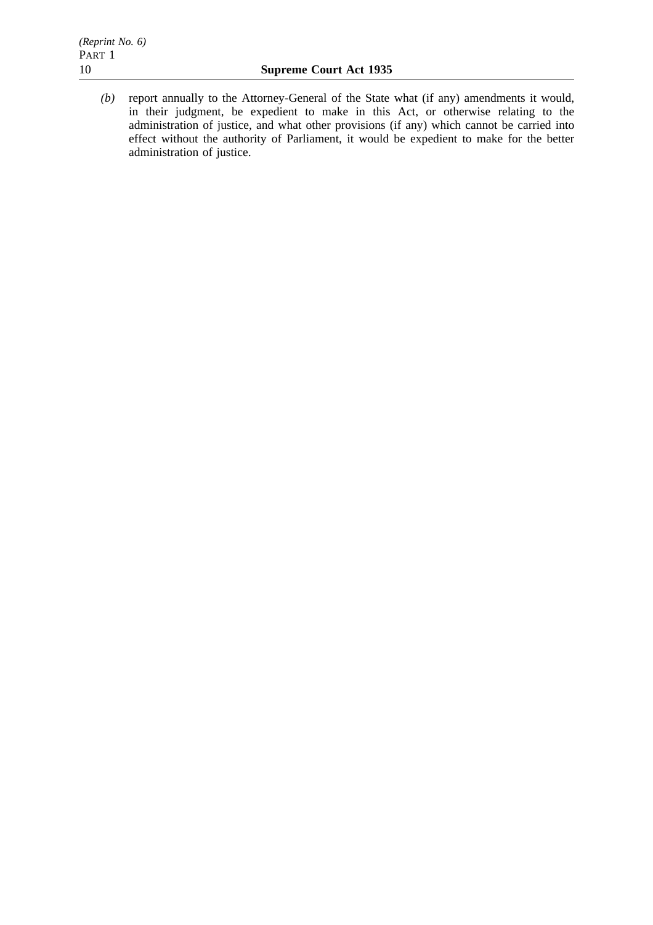*(b)* report annually to the Attorney-General of the State what (if any) amendments it would, in their judgment, be expedient to make in this Act, or otherwise relating to the administration of justice, and what other provisions (if any) which cannot be carried into effect without the authority of Parliament, it would be expedient to make for the better administration of justice.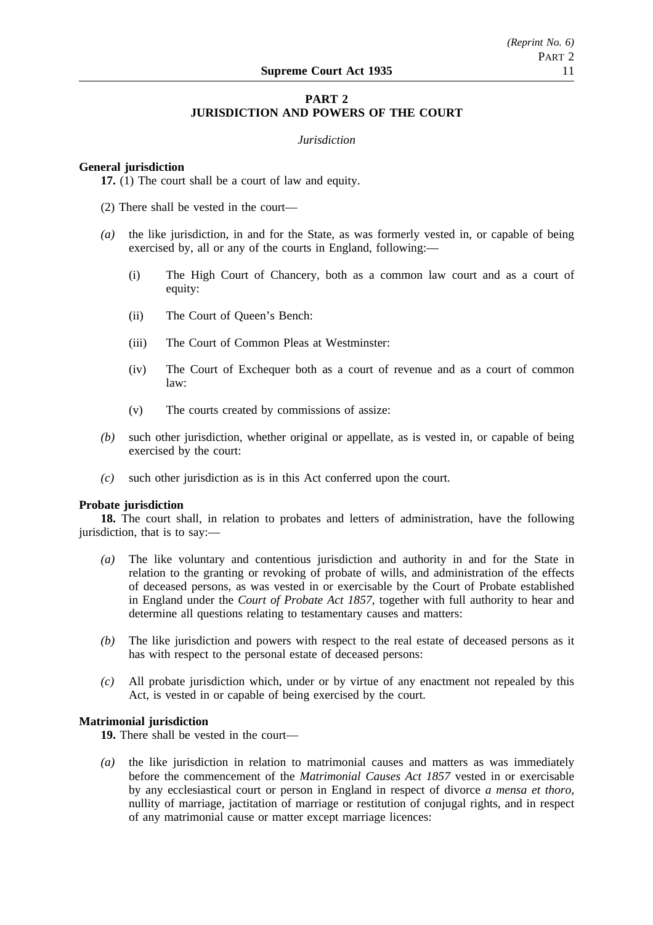### **PART 2 JURISDICTION AND POWERS OF THE COURT**

### *Jurisdiction*

### **General jurisdiction**

**17.** (1) The court shall be a court of law and equity.

- (2) There shall be vested in the court—
- *(a)* the like jurisdiction, in and for the State, as was formerly vested in, or capable of being exercised by, all or any of the courts in England, following:—
	- (i) The High Court of Chancery, both as a common law court and as a court of equity:
	- (ii) The Court of Queen's Bench:
	- (iii) The Court of Common Pleas at Westminster:
	- (iv) The Court of Exchequer both as a court of revenue and as a court of common law:
	- (v) The courts created by commissions of assize:
- *(b)* such other jurisdiction, whether original or appellate, as is vested in, or capable of being exercised by the court:
- *(c)* such other jurisdiction as is in this Act conferred upon the court.

#### **Probate jurisdiction**

**18.** The court shall, in relation to probates and letters of administration, have the following jurisdiction, that is to say:—

- *(a)* The like voluntary and contentious jurisdiction and authority in and for the State in relation to the granting or revoking of probate of wills, and administration of the effects of deceased persons, as was vested in or exercisable by the Court of Probate established in England under the *Court of Probate Act 1857*, together with full authority to hear and determine all questions relating to testamentary causes and matters:
- *(b)* The like jurisdiction and powers with respect to the real estate of deceased persons as it has with respect to the personal estate of deceased persons:
- *(c)* All probate jurisdiction which, under or by virtue of any enactment not repealed by this Act, is vested in or capable of being exercised by the court.

### **Matrimonial jurisdiction**

**19.** There shall be vested in the court—

*(a)* the like jurisdiction in relation to matrimonial causes and matters as was immediately before the commencement of the *Matrimonial Causes Act 1857* vested in or exercisable by any ecclesiastical court or person in England in respect of divorce *a mensa et thoro*, nullity of marriage, jactitation of marriage or restitution of conjugal rights, and in respect of any matrimonial cause or matter except marriage licences: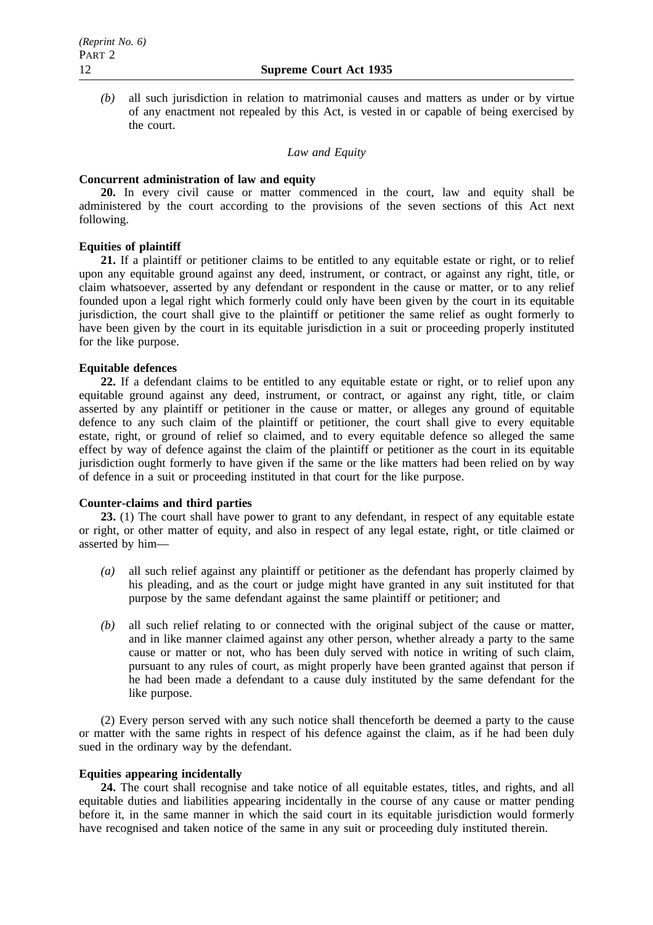*(b)* all such jurisdiction in relation to matrimonial causes and matters as under or by virtue of any enactment not repealed by this Act, is vested in or capable of being exercised by the court.

### *Law and Equity*

### **Concurrent administration of law and equity**

**20.** In every civil cause or matter commenced in the court, law and equity shall be administered by the court according to the provisions of the seven sections of this Act next following.

### **Equities of plaintiff**

**21.** If a plaintiff or petitioner claims to be entitled to any equitable estate or right, or to relief upon any equitable ground against any deed, instrument, or contract, or against any right, title, or claim whatsoever, asserted by any defendant or respondent in the cause or matter, or to any relief founded upon a legal right which formerly could only have been given by the court in its equitable jurisdiction, the court shall give to the plaintiff or petitioner the same relief as ought formerly to have been given by the court in its equitable jurisdiction in a suit or proceeding properly instituted for the like purpose.

# **Equitable defences**

**22.** If a defendant claims to be entitled to any equitable estate or right, or to relief upon any equitable ground against any deed, instrument, or contract, or against any right, title, or claim asserted by any plaintiff or petitioner in the cause or matter, or alleges any ground of equitable defence to any such claim of the plaintiff or petitioner, the court shall give to every equitable estate, right, or ground of relief so claimed, and to every equitable defence so alleged the same effect by way of defence against the claim of the plaintiff or petitioner as the court in its equitable jurisdiction ought formerly to have given if the same or the like matters had been relied on by way of defence in a suit or proceeding instituted in that court for the like purpose.

### **Counter-claims and third parties**

**23.** (1) The court shall have power to grant to any defendant, in respect of any equitable estate or right, or other matter of equity, and also in respect of any legal estate, right, or title claimed or asserted by him—

- *(a)* all such relief against any plaintiff or petitioner as the defendant has properly claimed by his pleading, and as the court or judge might have granted in any suit instituted for that purpose by the same defendant against the same plaintiff or petitioner; and
- *(b)* all such relief relating to or connected with the original subject of the cause or matter, and in like manner claimed against any other person, whether already a party to the same cause or matter or not, who has been duly served with notice in writing of such claim, pursuant to any rules of court, as might properly have been granted against that person if he had been made a defendant to a cause duly instituted by the same defendant for the like purpose.

(2) Every person served with any such notice shall thenceforth be deemed a party to the cause or matter with the same rights in respect of his defence against the claim, as if he had been duly sued in the ordinary way by the defendant.

### **Equities appearing incidentally**

**24.** The court shall recognise and take notice of all equitable estates, titles, and rights, and all equitable duties and liabilities appearing incidentally in the course of any cause or matter pending before it, in the same manner in which the said court in its equitable jurisdiction would formerly have recognised and taken notice of the same in any suit or proceeding duly instituted therein.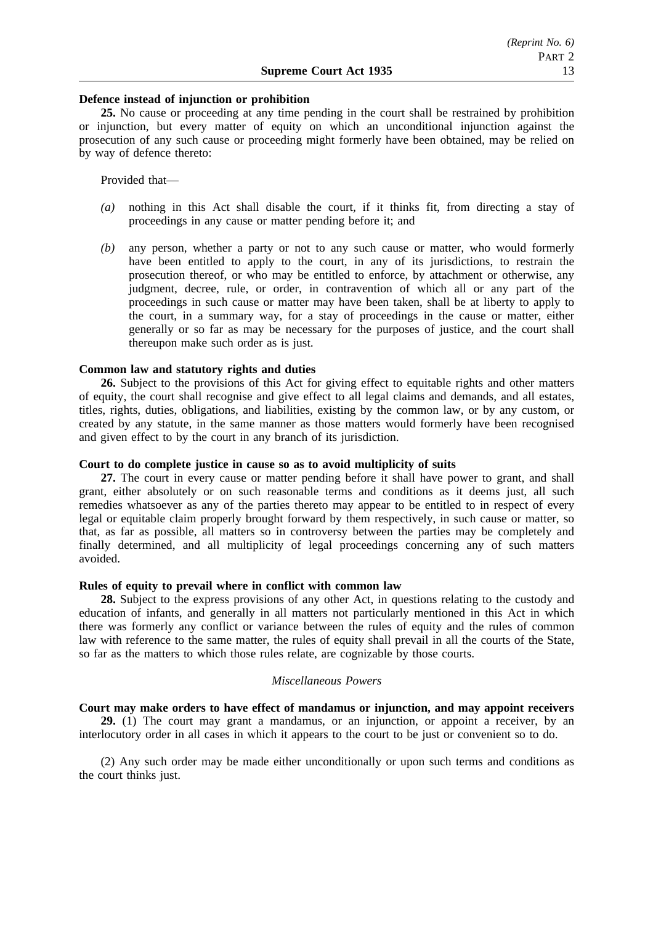#### **Defence instead of injunction or prohibition**

**25.** No cause or proceeding at any time pending in the court shall be restrained by prohibition or injunction, but every matter of equity on which an unconditional injunction against the prosecution of any such cause or proceeding might formerly have been obtained, may be relied on by way of defence thereto:

Provided that—

- *(a)* nothing in this Act shall disable the court, if it thinks fit, from directing a stay of proceedings in any cause or matter pending before it; and
- *(b)* any person, whether a party or not to any such cause or matter, who would formerly have been entitled to apply to the court, in any of its jurisdictions, to restrain the prosecution thereof, or who may be entitled to enforce, by attachment or otherwise, any judgment, decree, rule, or order, in contravention of which all or any part of the proceedings in such cause or matter may have been taken, shall be at liberty to apply to the court, in a summary way, for a stay of proceedings in the cause or matter, either generally or so far as may be necessary for the purposes of justice, and the court shall thereupon make such order as is just.

#### **Common law and statutory rights and duties**

**26.** Subject to the provisions of this Act for giving effect to equitable rights and other matters of equity, the court shall recognise and give effect to all legal claims and demands, and all estates, titles, rights, duties, obligations, and liabilities, existing by the common law, or by any custom, or created by any statute, in the same manner as those matters would formerly have been recognised and given effect to by the court in any branch of its jurisdiction.

### **Court to do complete justice in cause so as to avoid multiplicity of suits**

**27.** The court in every cause or matter pending before it shall have power to grant, and shall grant, either absolutely or on such reasonable terms and conditions as it deems just, all such remedies whatsoever as any of the parties thereto may appear to be entitled to in respect of every legal or equitable claim properly brought forward by them respectively, in such cause or matter, so that, as far as possible, all matters so in controversy between the parties may be completely and finally determined, and all multiplicity of legal proceedings concerning any of such matters avoided.

#### **Rules of equity to prevail where in conflict with common law**

**28.** Subject to the express provisions of any other Act, in questions relating to the custody and education of infants, and generally in all matters not particularly mentioned in this Act in which there was formerly any conflict or variance between the rules of equity and the rules of common law with reference to the same matter, the rules of equity shall prevail in all the courts of the State, so far as the matters to which those rules relate, are cognizable by those courts.

#### *Miscellaneous Powers*

### **Court may make orders to have effect of mandamus or injunction, and may appoint receivers**

**29.** (1) The court may grant a mandamus, or an injunction, or appoint a receiver, by an interlocutory order in all cases in which it appears to the court to be just or convenient so to do.

(2) Any such order may be made either unconditionally or upon such terms and conditions as the court thinks just.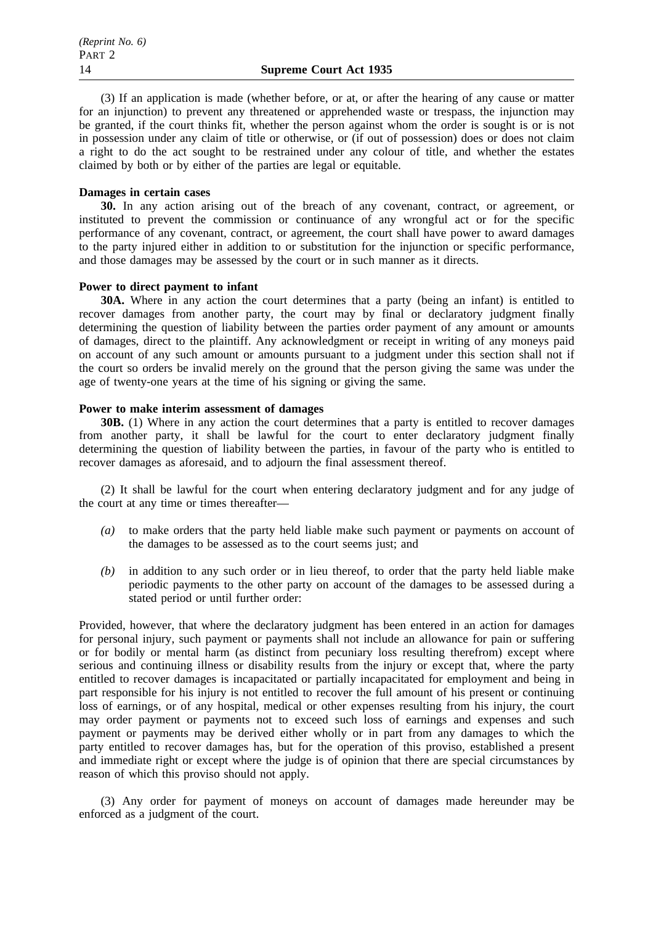(3) If an application is made (whether before, or at, or after the hearing of any cause or matter for an injunction) to prevent any threatened or apprehended waste or trespass, the injunction may be granted, if the court thinks fit, whether the person against whom the order is sought is or is not in possession under any claim of title or otherwise, or (if out of possession) does or does not claim a right to do the act sought to be restrained under any colour of title, and whether the estates claimed by both or by either of the parties are legal or equitable.

# **Damages in certain cases**

**30.** In any action arising out of the breach of any covenant, contract, or agreement, or instituted to prevent the commission or continuance of any wrongful act or for the specific performance of any covenant, contract, or agreement, the court shall have power to award damages to the party injured either in addition to or substitution for the injunction or specific performance, and those damages may be assessed by the court or in such manner as it directs.

### **Power to direct payment to infant**

**30A.** Where in any action the court determines that a party (being an infant) is entitled to recover damages from another party, the court may by final or declaratory judgment finally determining the question of liability between the parties order payment of any amount or amounts of damages, direct to the plaintiff. Any acknowledgment or receipt in writing of any moneys paid on account of any such amount or amounts pursuant to a judgment under this section shall not if the court so orders be invalid merely on the ground that the person giving the same was under the age of twenty-one years at the time of his signing or giving the same.

### **Power to make interim assessment of damages**

**30B.** (1) Where in any action the court determines that a party is entitled to recover damages from another party, it shall be lawful for the court to enter declaratory judgment finally determining the question of liability between the parties, in favour of the party who is entitled to recover damages as aforesaid, and to adjourn the final assessment thereof.

(2) It shall be lawful for the court when entering declaratory judgment and for any judge of the court at any time or times thereafter—

- *(a)* to make orders that the party held liable make such payment or payments on account of the damages to be assessed as to the court seems just; and
- *(b)* in addition to any such order or in lieu thereof, to order that the party held liable make periodic payments to the other party on account of the damages to be assessed during a stated period or until further order:

Provided, however, that where the declaratory judgment has been entered in an action for damages for personal injury, such payment or payments shall not include an allowance for pain or suffering or for bodily or mental harm (as distinct from pecuniary loss resulting therefrom) except where serious and continuing illness or disability results from the injury or except that, where the party entitled to recover damages is incapacitated or partially incapacitated for employment and being in part responsible for his injury is not entitled to recover the full amount of his present or continuing loss of earnings, or of any hospital, medical or other expenses resulting from his injury, the court may order payment or payments not to exceed such loss of earnings and expenses and such payment or payments may be derived either wholly or in part from any damages to which the party entitled to recover damages has, but for the operation of this proviso, established a present and immediate right or except where the judge is of opinion that there are special circumstances by reason of which this proviso should not apply.

(3) Any order for payment of moneys on account of damages made hereunder may be enforced as a judgment of the court.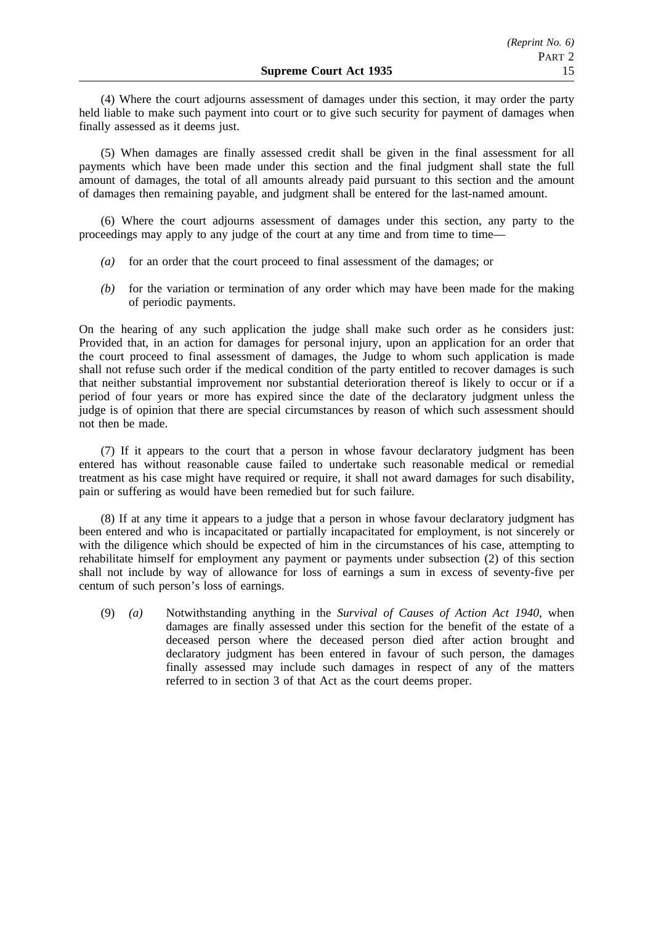(4) Where the court adjourns assessment of damages under this section, it may order the party held liable to make such payment into court or to give such security for payment of damages when finally assessed as it deems just.

(5) When damages are finally assessed credit shall be given in the final assessment for all payments which have been made under this section and the final judgment shall state the full amount of damages, the total of all amounts already paid pursuant to this section and the amount of damages then remaining payable, and judgment shall be entered for the last-named amount.

(6) Where the court adjourns assessment of damages under this section, any party to the proceedings may apply to any judge of the court at any time and from time to time—

- *(a)* for an order that the court proceed to final assessment of the damages; or
- *(b)* for the variation or termination of any order which may have been made for the making of periodic payments.

On the hearing of any such application the judge shall make such order as he considers just: Provided that, in an action for damages for personal injury, upon an application for an order that the court proceed to final assessment of damages, the Judge to whom such application is made shall not refuse such order if the medical condition of the party entitled to recover damages is such that neither substantial improvement nor substantial deterioration thereof is likely to occur or if a period of four years or more has expired since the date of the declaratory judgment unless the judge is of opinion that there are special circumstances by reason of which such assessment should not then be made.

(7) If it appears to the court that a person in whose favour declaratory judgment has been entered has without reasonable cause failed to undertake such reasonable medical or remedial treatment as his case might have required or require, it shall not award damages for such disability, pain or suffering as would have been remedied but for such failure.

(8) If at any time it appears to a judge that a person in whose favour declaratory judgment has been entered and who is incapacitated or partially incapacitated for employment, is not sincerely or with the diligence which should be expected of him in the circumstances of his case, attempting to rehabilitate himself for employment any payment or payments under subsection (2) of this section shall not include by way of allowance for loss of earnings a sum in excess of seventy-five per centum of such person's loss of earnings.

(9) *(a)* Notwithstanding anything in the *Survival of Causes of Action Act 1940*, when damages are finally assessed under this section for the benefit of the estate of a deceased person where the deceased person died after action brought and declaratory judgment has been entered in favour of such person, the damages finally assessed may include such damages in respect of any of the matters referred to in section 3 of that Act as the court deems proper.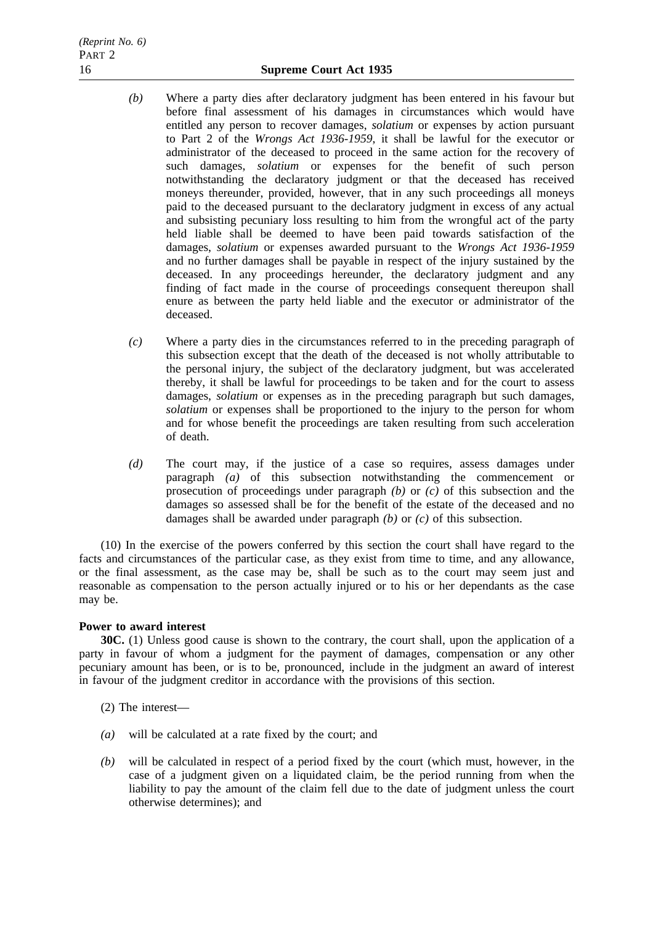- *(b)* Where a party dies after declaratory judgment has been entered in his favour but before final assessment of his damages in circumstances which would have entitled any person to recover damages, *solatium* or expenses by action pursuant to Part 2 of the *Wrongs Act 1936-1959*, it shall be lawful for the executor or administrator of the deceased to proceed in the same action for the recovery of such damages, *solatium* or expenses for the benefit of such person notwithstanding the declaratory judgment or that the deceased has received moneys thereunder, provided, however, that in any such proceedings all moneys paid to the deceased pursuant to the declaratory judgment in excess of any actual and subsisting pecuniary loss resulting to him from the wrongful act of the party held liable shall be deemed to have been paid towards satisfaction of the damages, *solatium* or expenses awarded pursuant to the *Wrongs Act 1936-1959* and no further damages shall be payable in respect of the injury sustained by the deceased. In any proceedings hereunder, the declaratory judgment and any finding of fact made in the course of proceedings consequent thereupon shall enure as between the party held liable and the executor or administrator of the deceased.
- *(c)* Where a party dies in the circumstances referred to in the preceding paragraph of this subsection except that the death of the deceased is not wholly attributable to the personal injury, the subject of the declaratory judgment, but was accelerated thereby, it shall be lawful for proceedings to be taken and for the court to assess damages, *solatium* or expenses as in the preceding paragraph but such damages, *solatium* or expenses shall be proportioned to the injury to the person for whom and for whose benefit the proceedings are taken resulting from such acceleration of death.
- *(d)* The court may, if the justice of a case so requires, assess damages under paragraph *(a)* of this subsection notwithstanding the commencement or prosecution of proceedings under paragraph *(b)* or *(c)* of this subsection and the damages so assessed shall be for the benefit of the estate of the deceased and no damages shall be awarded under paragraph *(b)* or *(c)* of this subsection.

(10) In the exercise of the powers conferred by this section the court shall have regard to the facts and circumstances of the particular case, as they exist from time to time, and any allowance, or the final assessment, as the case may be, shall be such as to the court may seem just and reasonable as compensation to the person actually injured or to his or her dependants as the case may be.

## **Power to award interest**

**30C.** (1) Unless good cause is shown to the contrary, the court shall, upon the application of a party in favour of whom a judgment for the payment of damages, compensation or any other pecuniary amount has been, or is to be, pronounced, include in the judgment an award of interest in favour of the judgment creditor in accordance with the provisions of this section.

- (2) The interest—
- *(a)* will be calculated at a rate fixed by the court; and
- *(b)* will be calculated in respect of a period fixed by the court (which must, however, in the case of a judgment given on a liquidated claim, be the period running from when the liability to pay the amount of the claim fell due to the date of judgment unless the court otherwise determines); and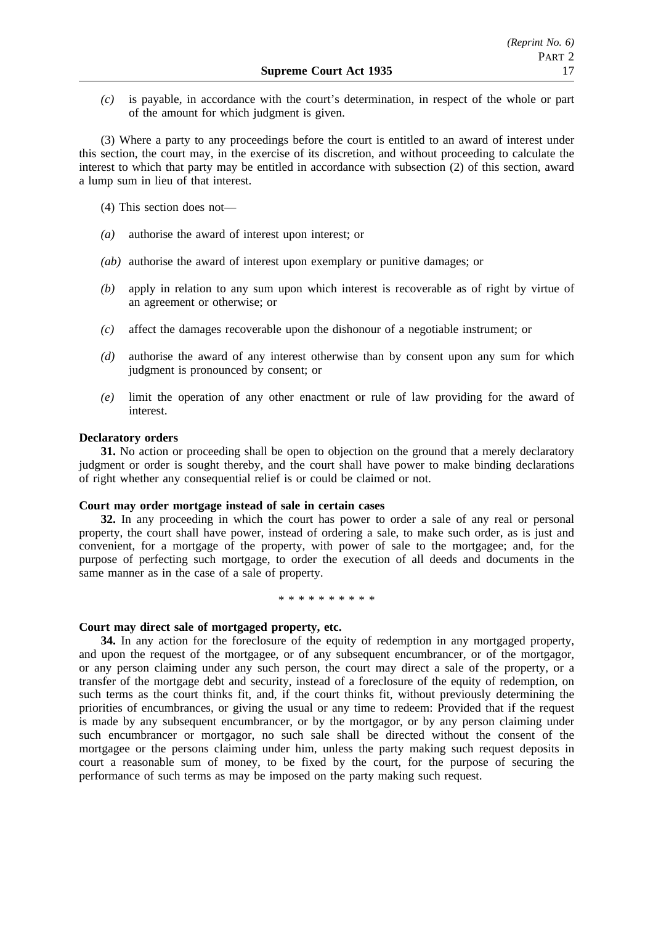*(c)* is payable, in accordance with the court's determination, in respect of the whole or part of the amount for which judgment is given.

(3) Where a party to any proceedings before the court is entitled to an award of interest under this section, the court may, in the exercise of its discretion, and without proceeding to calculate the interest to which that party may be entitled in accordance with subsection (2) of this section, award a lump sum in lieu of that interest.

(4) This section does not—

- *(a)* authorise the award of interest upon interest; or
- *(ab)* authorise the award of interest upon exemplary or punitive damages; or
- *(b)* apply in relation to any sum upon which interest is recoverable as of right by virtue of an agreement or otherwise; or
- *(c)* affect the damages recoverable upon the dishonour of a negotiable instrument; or
- *(d)* authorise the award of any interest otherwise than by consent upon any sum for which judgment is pronounced by consent; or
- *(e)* limit the operation of any other enactment or rule of law providing for the award of interest.

### **Declaratory orders**

**31.** No action or proceeding shall be open to objection on the ground that a merely declaratory judgment or order is sought thereby, and the court shall have power to make binding declarations of right whether any consequential relief is or could be claimed or not.

#### **Court may order mortgage instead of sale in certain cases**

**32.** In any proceeding in which the court has power to order a sale of any real or personal property, the court shall have power, instead of ordering a sale, to make such order, as is just and convenient, for a mortgage of the property, with power of sale to the mortgagee; and, for the purpose of perfecting such mortgage, to order the execution of all deeds and documents in the same manner as in the case of a sale of property.

\*\*\*\*\*\*\*\*\*\*

#### **Court may direct sale of mortgaged property, etc.**

**34.** In any action for the foreclosure of the equity of redemption in any mortgaged property, and upon the request of the mortgagee, or of any subsequent encumbrancer, or of the mortgagor, or any person claiming under any such person, the court may direct a sale of the property, or a transfer of the mortgage debt and security, instead of a foreclosure of the equity of redemption, on such terms as the court thinks fit, and, if the court thinks fit, without previously determining the priorities of encumbrances, or giving the usual or any time to redeem: Provided that if the request is made by any subsequent encumbrancer, or by the mortgagor, or by any person claiming under such encumbrancer or mortgagor, no such sale shall be directed without the consent of the mortgagee or the persons claiming under him, unless the party making such request deposits in court a reasonable sum of money, to be fixed by the court, for the purpose of securing the performance of such terms as may be imposed on the party making such request.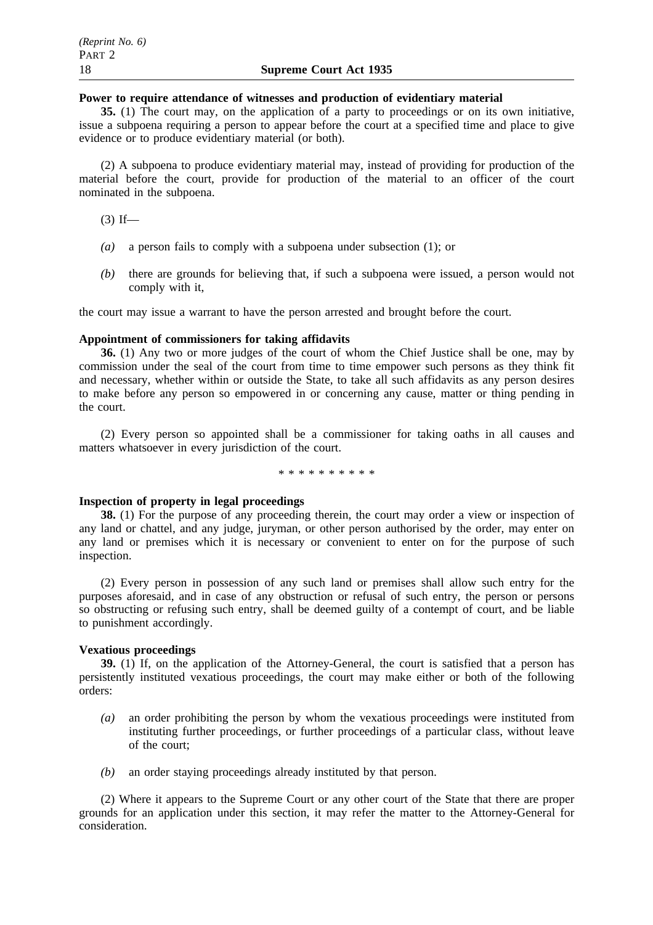#### **Power to require attendance of witnesses and production of evidentiary material**

**35.** (1) The court may, on the application of a party to proceedings or on its own initiative, issue a subpoena requiring a person to appear before the court at a specified time and place to give evidence or to produce evidentiary material (or both).

(2) A subpoena to produce evidentiary material may, instead of providing for production of the material before the court, provide for production of the material to an officer of the court nominated in the subpoena.

 $(3)$  If—

- *(a)* a person fails to comply with a subpoena under subsection (1); or
- *(b)* there are grounds for believing that, if such a subpoena were issued, a person would not comply with it,

the court may issue a warrant to have the person arrested and brought before the court.

#### **Appointment of commissioners for taking affidavits**

**36.** (1) Any two or more judges of the court of whom the Chief Justice shall be one, may by commission under the seal of the court from time to time empower such persons as they think fit and necessary, whether within or outside the State, to take all such affidavits as any person desires to make before any person so empowered in or concerning any cause, matter or thing pending in the court.

(2) Every person so appointed shall be a commissioner for taking oaths in all causes and matters whatsoever in every jurisdiction of the court.

\*\*\*\*\*\*\*\*\*\*

### **Inspection of property in legal proceedings**

**38.** (1) For the purpose of any proceeding therein, the court may order a view or inspection of any land or chattel, and any judge, juryman, or other person authorised by the order, may enter on any land or premises which it is necessary or convenient to enter on for the purpose of such inspection.

(2) Every person in possession of any such land or premises shall allow such entry for the purposes aforesaid, and in case of any obstruction or refusal of such entry, the person or persons so obstructing or refusing such entry, shall be deemed guilty of a contempt of court, and be liable to punishment accordingly.

#### **Vexatious proceedings**

**39.** (1) If, on the application of the Attorney-General, the court is satisfied that a person has persistently instituted vexatious proceedings, the court may make either or both of the following orders:

- *(a)* an order prohibiting the person by whom the vexatious proceedings were instituted from instituting further proceedings, or further proceedings of a particular class, without leave of the court;
- *(b)* an order staying proceedings already instituted by that person.

(2) Where it appears to the Supreme Court or any other court of the State that there are proper grounds for an application under this section, it may refer the matter to the Attorney-General for consideration.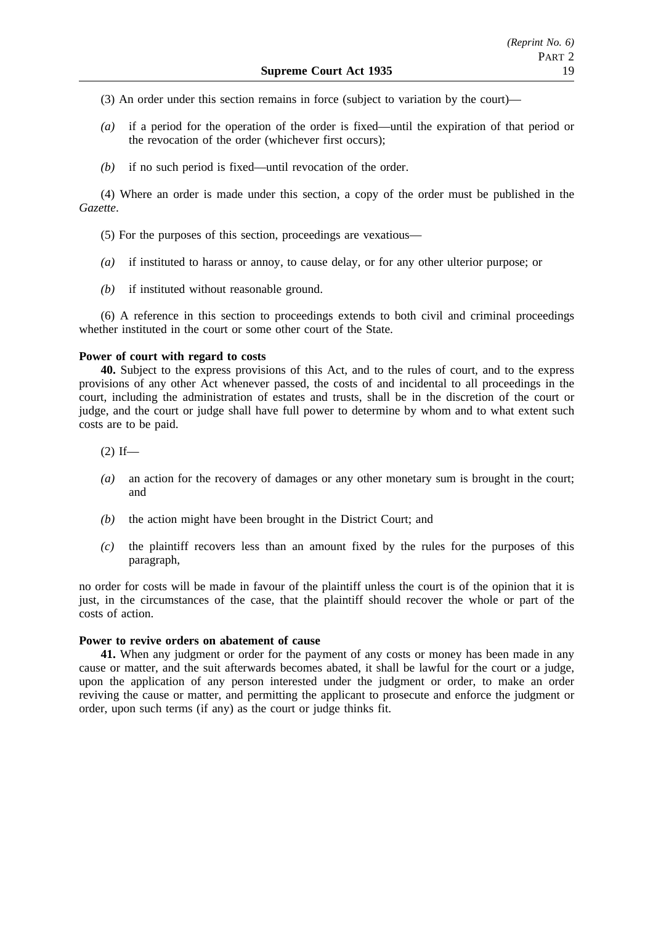(3) An order under this section remains in force (subject to variation by the court)—

- *(a)* if a period for the operation of the order is fixed—until the expiration of that period or the revocation of the order (whichever first occurs);
- *(b)* if no such period is fixed—until revocation of the order.

(4) Where an order is made under this section, a copy of the order must be published in the *Gazette*.

(5) For the purposes of this section, proceedings are vexatious—

- *(a)* if instituted to harass or annoy, to cause delay, or for any other ulterior purpose; or
- *(b)* if instituted without reasonable ground.

(6) A reference in this section to proceedings extends to both civil and criminal proceedings whether instituted in the court or some other court of the State.

### **Power of court with regard to costs**

**40.** Subject to the express provisions of this Act, and to the rules of court, and to the express provisions of any other Act whenever passed, the costs of and incidental to all proceedings in the court, including the administration of estates and trusts, shall be in the discretion of the court or judge, and the court or judge shall have full power to determine by whom and to what extent such costs are to be paid.

 $(2)$  If—

- *(a)* an action for the recovery of damages or any other monetary sum is brought in the court; and
- *(b)* the action might have been brought in the District Court; and
- *(c)* the plaintiff recovers less than an amount fixed by the rules for the purposes of this paragraph,

no order for costs will be made in favour of the plaintiff unless the court is of the opinion that it is just, in the circumstances of the case, that the plaintiff should recover the whole or part of the costs of action.

### **Power to revive orders on abatement of cause**

**41.** When any judgment or order for the payment of any costs or money has been made in any cause or matter, and the suit afterwards becomes abated, it shall be lawful for the court or a judge, upon the application of any person interested under the judgment or order, to make an order reviving the cause or matter, and permitting the applicant to prosecute and enforce the judgment or order, upon such terms (if any) as the court or judge thinks fit.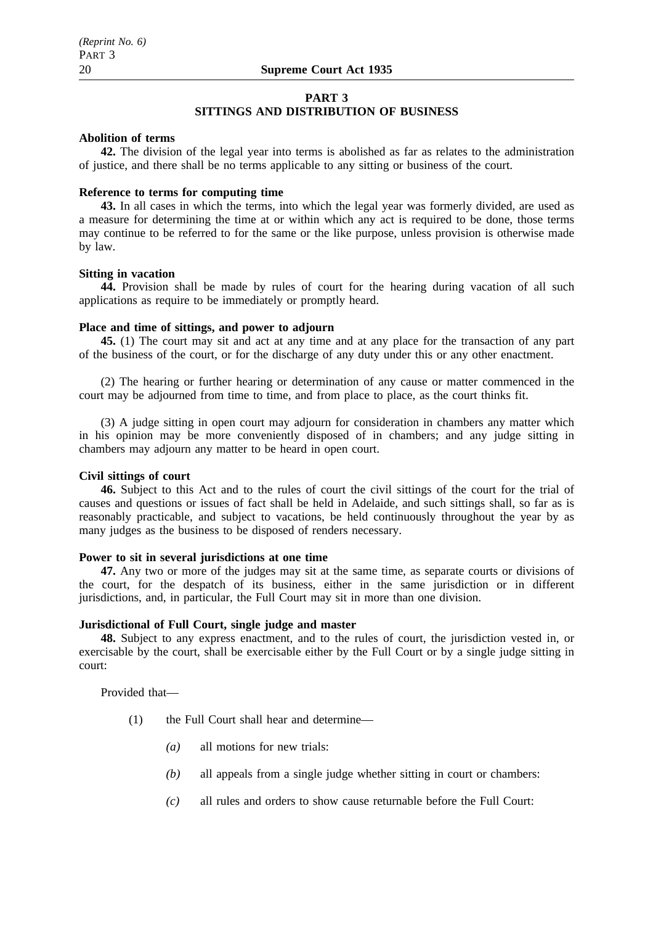### **PART 3**

### **SITTINGS AND DISTRIBUTION OF BUSINESS**

#### **Abolition of terms**

**42.** The division of the legal year into terms is abolished as far as relates to the administration of justice, and there shall be no terms applicable to any sitting or business of the court.

### **Reference to terms for computing time**

**43.** In all cases in which the terms, into which the legal year was formerly divided, are used as a measure for determining the time at or within which any act is required to be done, those terms may continue to be referred to for the same or the like purpose, unless provision is otherwise made by law.

#### **Sitting in vacation**

**44.** Provision shall be made by rules of court for the hearing during vacation of all such applications as require to be immediately or promptly heard.

### **Place and time of sittings, and power to adjourn**

**45.** (1) The court may sit and act at any time and at any place for the transaction of any part of the business of the court, or for the discharge of any duty under this or any other enactment.

(2) The hearing or further hearing or determination of any cause or matter commenced in the court may be adjourned from time to time, and from place to place, as the court thinks fit.

(3) A judge sitting in open court may adjourn for consideration in chambers any matter which in his opinion may be more conveniently disposed of in chambers; and any judge sitting in chambers may adjourn any matter to be heard in open court.

### **Civil sittings of court**

**46.** Subject to this Act and to the rules of court the civil sittings of the court for the trial of causes and questions or issues of fact shall be held in Adelaide, and such sittings shall, so far as is reasonably practicable, and subject to vacations, be held continuously throughout the year by as many judges as the business to be disposed of renders necessary.

#### **Power to sit in several jurisdictions at one time**

**47.** Any two or more of the judges may sit at the same time, as separate courts or divisions of the court, for the despatch of its business, either in the same jurisdiction or in different jurisdictions, and, in particular, the Full Court may sit in more than one division.

#### **Jurisdictional of Full Court, single judge and master**

**48.** Subject to any express enactment, and to the rules of court, the jurisdiction vested in, or exercisable by the court, shall be exercisable either by the Full Court or by a single judge sitting in court:

Provided that—

- (1) the Full Court shall hear and determine—
	- *(a)* all motions for new trials:
	- *(b)* all appeals from a single judge whether sitting in court or chambers:
	- *(c)* all rules and orders to show cause returnable before the Full Court: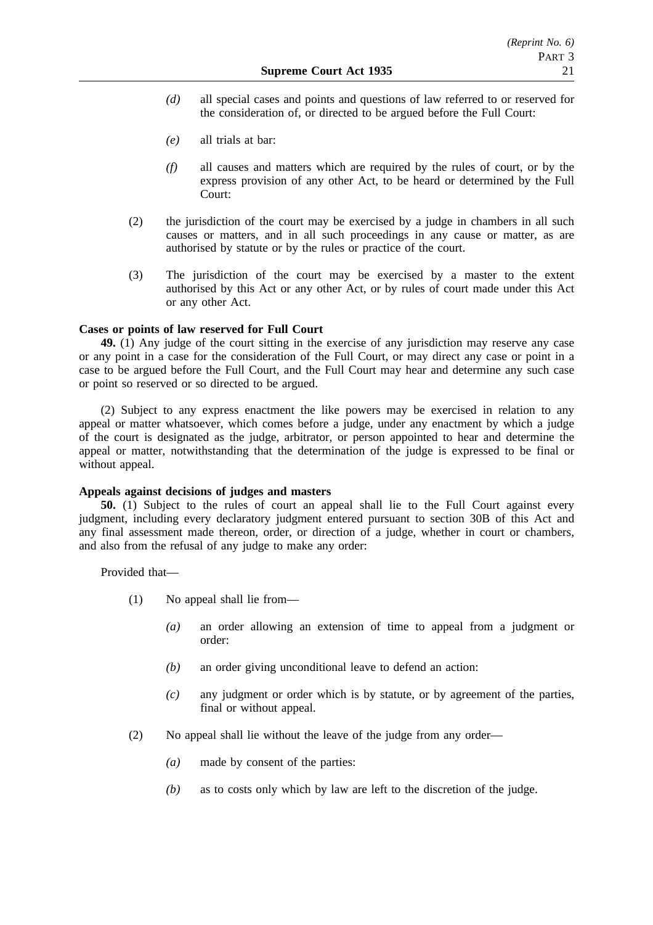- *(d)* all special cases and points and questions of law referred to or reserved for the consideration of, or directed to be argued before the Full Court:
- *(e)* all trials at bar:
- *(f)* all causes and matters which are required by the rules of court, or by the express provision of any other Act, to be heard or determined by the Full Court:
- (2) the jurisdiction of the court may be exercised by a judge in chambers in all such causes or matters, and in all such proceedings in any cause or matter, as are authorised by statute or by the rules or practice of the court.
- (3) The jurisdiction of the court may be exercised by a master to the extent authorised by this Act or any other Act, or by rules of court made under this Act or any other Act.

### **Cases or points of law reserved for Full Court**

**49.** (1) Any judge of the court sitting in the exercise of any jurisdiction may reserve any case or any point in a case for the consideration of the Full Court, or may direct any case or point in a case to be argued before the Full Court, and the Full Court may hear and determine any such case or point so reserved or so directed to be argued.

(2) Subject to any express enactment the like powers may be exercised in relation to any appeal or matter whatsoever, which comes before a judge, under any enactment by which a judge of the court is designated as the judge, arbitrator, or person appointed to hear and determine the appeal or matter, notwithstanding that the determination of the judge is expressed to be final or without appeal.

### **Appeals against decisions of judges and masters**

**50.** (1) Subject to the rules of court an appeal shall lie to the Full Court against every judgment, including every declaratory judgment entered pursuant to section 30B of this Act and any final assessment made thereon, order, or direction of a judge, whether in court or chambers, and also from the refusal of any judge to make any order:

Provided that—

- (1) No appeal shall lie from—
	- *(a)* an order allowing an extension of time to appeal from a judgment or order:
	- *(b)* an order giving unconditional leave to defend an action:
	- *(c)* any judgment or order which is by statute, or by agreement of the parties, final or without appeal.
- (2) No appeal shall lie without the leave of the judge from any order—
	- *(a)* made by consent of the parties:
	- *(b)* as to costs only which by law are left to the discretion of the judge.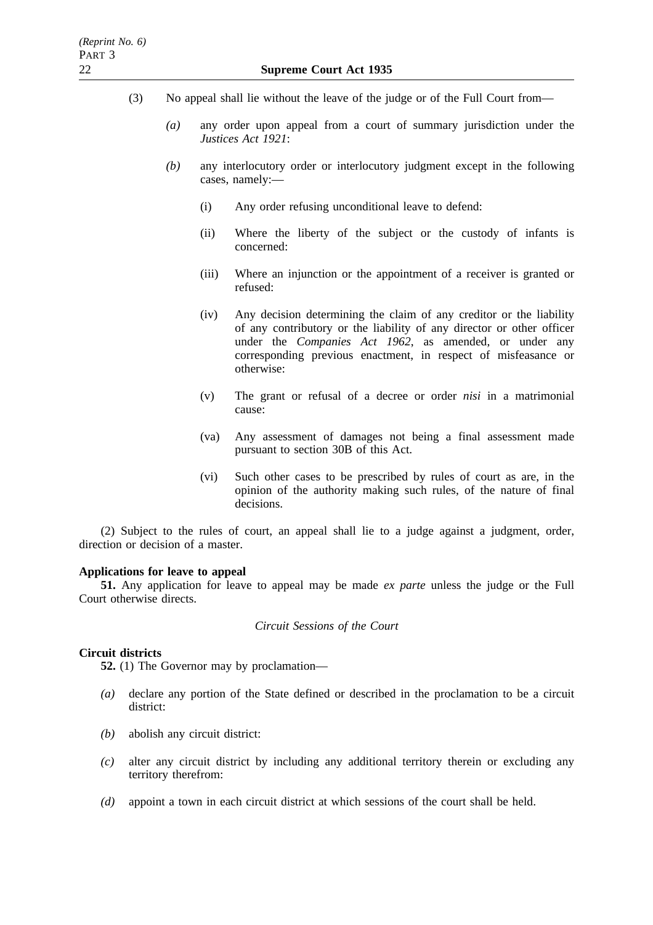- (3) No appeal shall lie without the leave of the judge or of the Full Court from—
	- *(a)* any order upon appeal from a court of summary jurisdiction under the *Justices Act 1921*:
	- *(b)* any interlocutory order or interlocutory judgment except in the following cases, namely:—
		- (i) Any order refusing unconditional leave to defend:
		- (ii) Where the liberty of the subject or the custody of infants is concerned:
		- (iii) Where an injunction or the appointment of a receiver is granted or refused:
		- (iv) Any decision determining the claim of any creditor or the liability of any contributory or the liability of any director or other officer under the *Companies Act 1962*, as amended, or under any corresponding previous enactment, in respect of misfeasance or otherwise:
		- (v) The grant or refusal of a decree or order *nisi* in a matrimonial cause:
		- (va) Any assessment of damages not being a final assessment made pursuant to section 30B of this Act.
		- (vi) Such other cases to be prescribed by rules of court as are, in the opinion of the authority making such rules, of the nature of final decisions.

(2) Subject to the rules of court, an appeal shall lie to a judge against a judgment, order, direction or decision of a master.

#### **Applications for leave to appeal**

**51.** Any application for leave to appeal may be made *ex parte* unless the judge or the Full Court otherwise directs.

*Circuit Sessions of the Court*

#### **Circuit districts**

**52.** (1) The Governor may by proclamation—

- *(a)* declare any portion of the State defined or described in the proclamation to be a circuit district:
- *(b)* abolish any circuit district:
- *(c)* alter any circuit district by including any additional territory therein or excluding any territory therefrom:
- *(d)* appoint a town in each circuit district at which sessions of the court shall be held.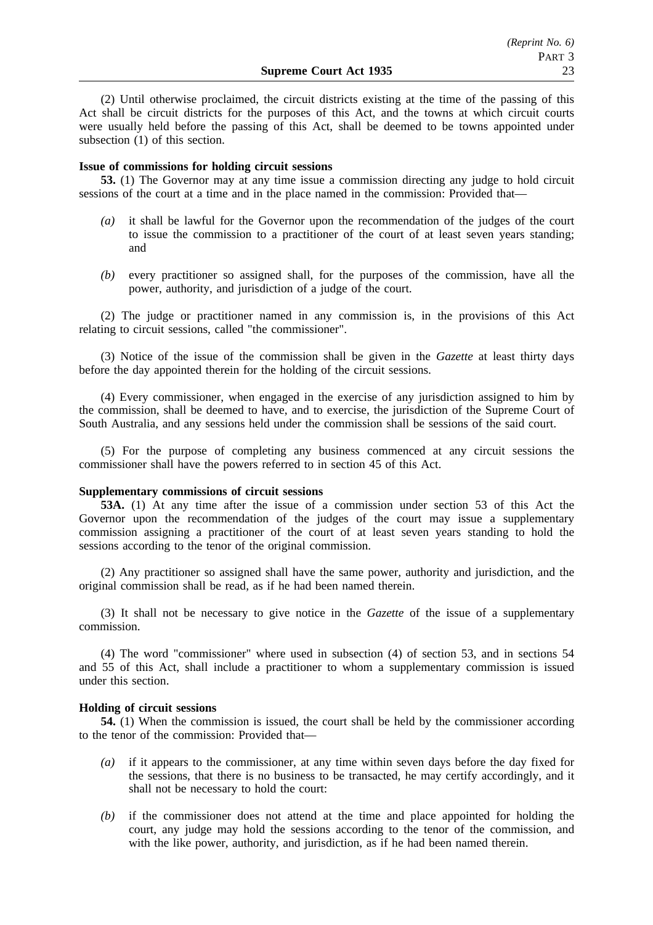(2) Until otherwise proclaimed, the circuit districts existing at the time of the passing of this Act shall be circuit districts for the purposes of this Act, and the towns at which circuit courts were usually held before the passing of this Act, shall be deemed to be towns appointed under subsection (1) of this section.

#### **Issue of commissions for holding circuit sessions**

**53.** (1) The Governor may at any time issue a commission directing any judge to hold circuit sessions of the court at a time and in the place named in the commission: Provided that—

- *(a)* it shall be lawful for the Governor upon the recommendation of the judges of the court to issue the commission to a practitioner of the court of at least seven years standing; and
- *(b)* every practitioner so assigned shall, for the purposes of the commission, have all the power, authority, and jurisdiction of a judge of the court.

(2) The judge or practitioner named in any commission is, in the provisions of this Act relating to circuit sessions, called "the commissioner".

(3) Notice of the issue of the commission shall be given in the *Gazette* at least thirty days before the day appointed therein for the holding of the circuit sessions.

(4) Every commissioner, when engaged in the exercise of any jurisdiction assigned to him by the commission, shall be deemed to have, and to exercise, the jurisdiction of the Supreme Court of South Australia, and any sessions held under the commission shall be sessions of the said court.

(5) For the purpose of completing any business commenced at any circuit sessions the commissioner shall have the powers referred to in section 45 of this Act.

#### **Supplementary commissions of circuit sessions**

**53A.** (1) At any time after the issue of a commission under section 53 of this Act the Governor upon the recommendation of the judges of the court may issue a supplementary commission assigning a practitioner of the court of at least seven years standing to hold the sessions according to the tenor of the original commission.

(2) Any practitioner so assigned shall have the same power, authority and jurisdiction, and the original commission shall be read, as if he had been named therein.

(3) It shall not be necessary to give notice in the *Gazette* of the issue of a supplementary commission.

(4) The word "commissioner" where used in subsection (4) of section 53, and in sections 54 and 55 of this Act, shall include a practitioner to whom a supplementary commission is issued under this section.

#### **Holding of circuit sessions**

**54.** (1) When the commission is issued, the court shall be held by the commissioner according to the tenor of the commission: Provided that—

- *(a)* if it appears to the commissioner, at any time within seven days before the day fixed for the sessions, that there is no business to be transacted, he may certify accordingly, and it shall not be necessary to hold the court:
- *(b)* if the commissioner does not attend at the time and place appointed for holding the court, any judge may hold the sessions according to the tenor of the commission, and with the like power, authority, and jurisdiction, as if he had been named therein.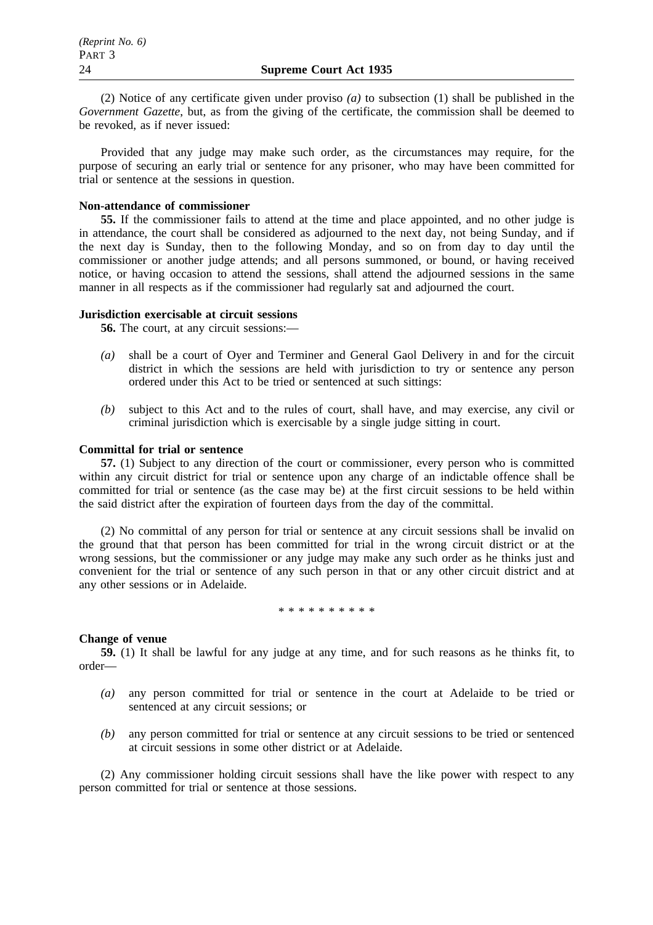(2) Notice of any certificate given under proviso *(a)* to subsection (1) shall be published in the *Government Gazette*, but, as from the giving of the certificate, the commission shall be deemed to be revoked, as if never issued:

Provided that any judge may make such order, as the circumstances may require, for the purpose of securing an early trial or sentence for any prisoner, who may have been committed for trial or sentence at the sessions in question.

#### **Non-attendance of commissioner**

**55.** If the commissioner fails to attend at the time and place appointed, and no other judge is in attendance, the court shall be considered as adjourned to the next day, not being Sunday, and if the next day is Sunday, then to the following Monday, and so on from day to day until the commissioner or another judge attends; and all persons summoned, or bound, or having received notice, or having occasion to attend the sessions, shall attend the adjourned sessions in the same manner in all respects as if the commissioner had regularly sat and adjourned the court.

### **Jurisdiction exercisable at circuit sessions**

**56.** The court, at any circuit sessions:—

- *(a)* shall be a court of Oyer and Terminer and General Gaol Delivery in and for the circuit district in which the sessions are held with jurisdiction to try or sentence any person ordered under this Act to be tried or sentenced at such sittings:
- *(b)* subject to this Act and to the rules of court, shall have, and may exercise, any civil or criminal jurisdiction which is exercisable by a single judge sitting in court.

#### **Committal for trial or sentence**

**57.** (1) Subject to any direction of the court or commissioner, every person who is committed within any circuit district for trial or sentence upon any charge of an indictable offence shall be committed for trial or sentence (as the case may be) at the first circuit sessions to be held within the said district after the expiration of fourteen days from the day of the committal.

(2) No committal of any person for trial or sentence at any circuit sessions shall be invalid on the ground that that person has been committed for trial in the wrong circuit district or at the wrong sessions, but the commissioner or any judge may make any such order as he thinks just and convenient for the trial or sentence of any such person in that or any other circuit district and at any other sessions or in Adelaide.

\*\*\*\*\*\*\*\*\*\*

#### **Change of venue**

**59.** (1) It shall be lawful for any judge at any time, and for such reasons as he thinks fit, to order—

- *(a)* any person committed for trial or sentence in the court at Adelaide to be tried or sentenced at any circuit sessions; or
- *(b)* any person committed for trial or sentence at any circuit sessions to be tried or sentenced at circuit sessions in some other district or at Adelaide.

(2) Any commissioner holding circuit sessions shall have the like power with respect to any person committed for trial or sentence at those sessions.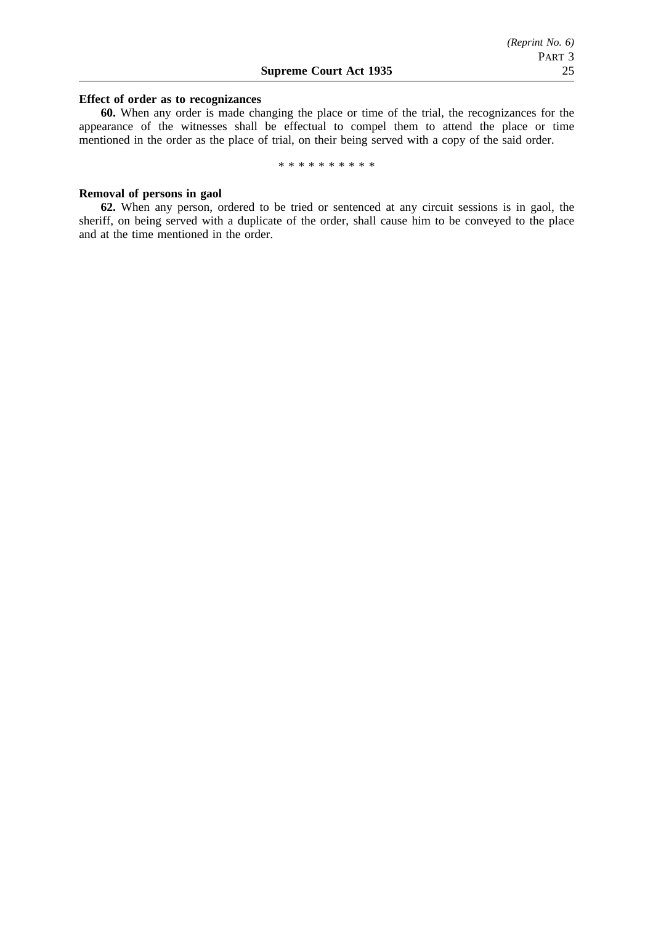### **Effect of order as to recognizances**

**60.** When any order is made changing the place or time of the trial, the recognizances for the appearance of the witnesses shall be effectual to compel them to attend the place or time mentioned in the order as the place of trial, on their being served with a copy of the said order.

\*\*\*\*\*\*\*\*\*\*

#### **Removal of persons in gaol**

**62.** When any person, ordered to be tried or sentenced at any circuit sessions is in gaol, the sheriff, on being served with a duplicate of the order, shall cause him to be conveyed to the place and at the time mentioned in the order.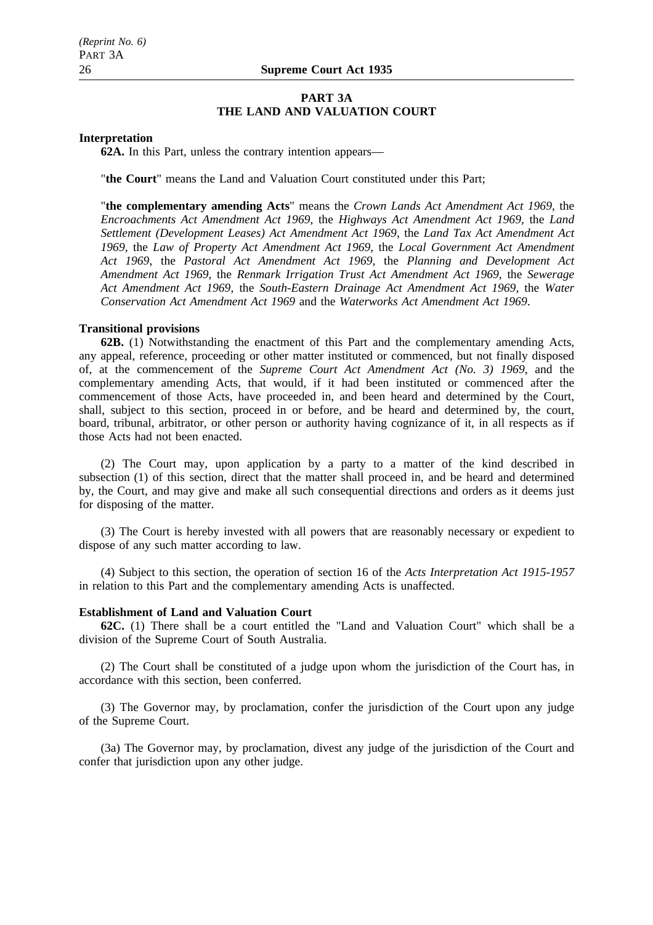### **PART 3A THE LAND AND VALUATION COURT**

#### **Interpretation**

**62A.** In this Part, unless the contrary intention appears—

"**the Court**" means the Land and Valuation Court constituted under this Part;

"**the complementary amending Acts**" means the *Crown Lands Act Amendment Act 1969*, the *Encroachments Act Amendment Act 1969*, the *Highways Act Amendment Act 1969*, the *Land Settlement (Development Leases) Act Amendment Act 1969*, the *Land Tax Act Amendment Act 1969*, the *Law of Property Act Amendment Act 1969*, the *Local Government Act Amendment Act 1969*, the *Pastoral Act Amendment Act 1969*, the *Planning and Development Act Amendment Act 1969*, the *Renmark Irrigation Trust Act Amendment Act 1969*, the *Sewerage Act Amendment Act 1969*, the *South-Eastern Drainage Act Amendment Act 1969*, the *Water Conservation Act Amendment Act 1969* and the *Waterworks Act Amendment Act 1969*.

#### **Transitional provisions**

**62B.** (1) Notwithstanding the enactment of this Part and the complementary amending Acts, any appeal, reference, proceeding or other matter instituted or commenced, but not finally disposed of, at the commencement of the *Supreme Court Act Amendment Act (No. 3) 1969*, and the complementary amending Acts, that would, if it had been instituted or commenced after the commencement of those Acts, have proceeded in, and been heard and determined by the Court, shall, subject to this section, proceed in or before, and be heard and determined by, the court, board, tribunal, arbitrator, or other person or authority having cognizance of it, in all respects as if those Acts had not been enacted.

(2) The Court may, upon application by a party to a matter of the kind described in subsection (1) of this section, direct that the matter shall proceed in, and be heard and determined by, the Court, and may give and make all such consequential directions and orders as it deems just for disposing of the matter.

(3) The Court is hereby invested with all powers that are reasonably necessary or expedient to dispose of any such matter according to law.

(4) Subject to this section, the operation of section 16 of the *Acts Interpretation Act 1915-1957* in relation to this Part and the complementary amending Acts is unaffected.

#### **Establishment of Land and Valuation Court**

**62C.** (1) There shall be a court entitled the "Land and Valuation Court" which shall be a division of the Supreme Court of South Australia.

(2) The Court shall be constituted of a judge upon whom the jurisdiction of the Court has, in accordance with this section, been conferred.

(3) The Governor may, by proclamation, confer the jurisdiction of the Court upon any judge of the Supreme Court.

(3a) The Governor may, by proclamation, divest any judge of the jurisdiction of the Court and confer that jurisdiction upon any other judge.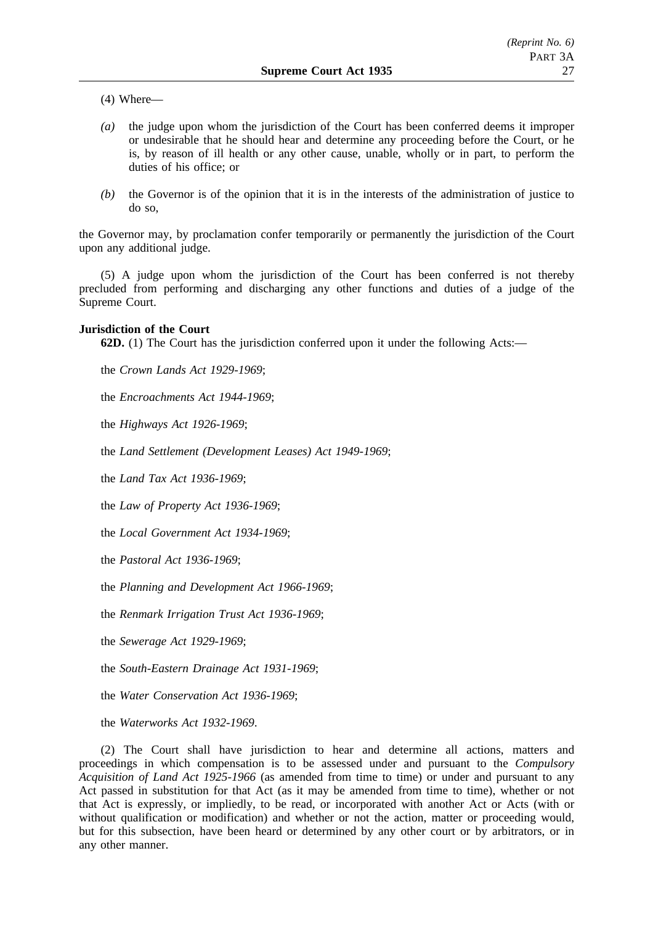(4) Where—

- *(a)* the judge upon whom the jurisdiction of the Court has been conferred deems it improper or undesirable that he should hear and determine any proceeding before the Court, or he is, by reason of ill health or any other cause, unable, wholly or in part, to perform the duties of his office; or
- *(b)* the Governor is of the opinion that it is in the interests of the administration of justice to do so,

the Governor may, by proclamation confer temporarily or permanently the jurisdiction of the Court upon any additional judge.

(5) A judge upon whom the jurisdiction of the Court has been conferred is not thereby precluded from performing and discharging any other functions and duties of a judge of the Supreme Court.

#### **Jurisdiction of the Court**

**62D.** (1) The Court has the jurisdiction conferred upon it under the following Acts:—

the *Crown Lands Act 1929-1969*;

the *Encroachments Act 1944-1969*;

the *Highways Act 1926-1969*;

the *Land Settlement (Development Leases) Act 1949-1969*;

the *Land Tax Act 1936-1969*;

the *Law of Property Act 1936-1969*;

the *Local Government Act 1934-1969*;

the *Pastoral Act 1936-1969*;

the *Planning and Development Act 1966-1969*;

the *Renmark Irrigation Trust Act 1936-1969*;

the *Sewerage Act 1929-1969*;

the *South-Eastern Drainage Act 1931-1969*;

the *Water Conservation Act 1936-1969*;

the *Waterworks Act 1932-1969*.

(2) The Court shall have jurisdiction to hear and determine all actions, matters and proceedings in which compensation is to be assessed under and pursuant to the *Compulsory Acquisition of Land Act 1925-1966* (as amended from time to time) or under and pursuant to any Act passed in substitution for that Act (as it may be amended from time to time), whether or not that Act is expressly, or impliedly, to be read, or incorporated with another Act or Acts (with or without qualification or modification) and whether or not the action, matter or proceeding would, but for this subsection, have been heard or determined by any other court or by arbitrators, or in any other manner.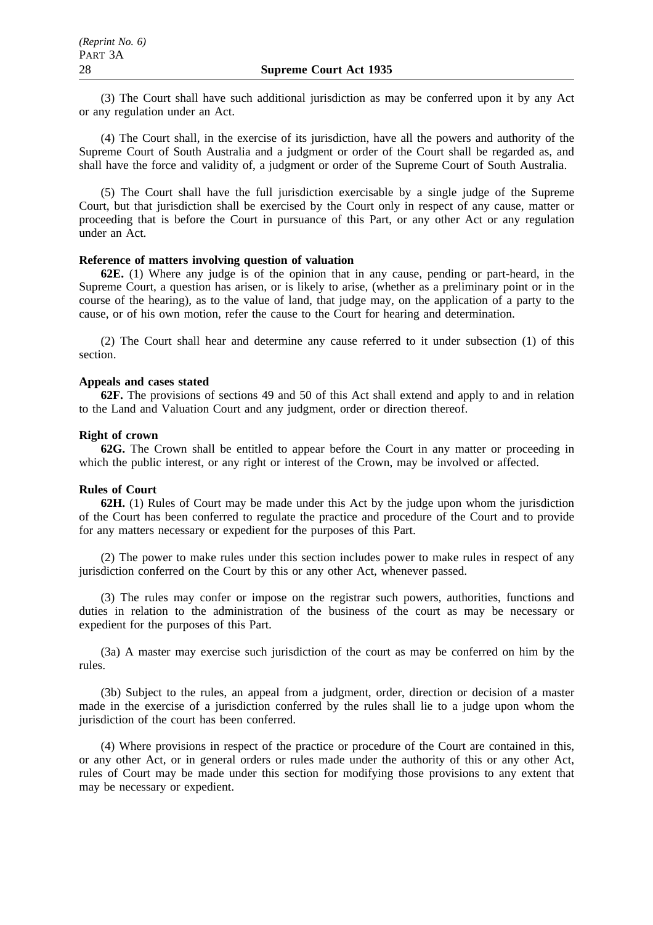(3) The Court shall have such additional jurisdiction as may be conferred upon it by any Act or any regulation under an Act.

(4) The Court shall, in the exercise of its jurisdiction, have all the powers and authority of the Supreme Court of South Australia and a judgment or order of the Court shall be regarded as, and shall have the force and validity of, a judgment or order of the Supreme Court of South Australia.

(5) The Court shall have the full jurisdiction exercisable by a single judge of the Supreme Court, but that jurisdiction shall be exercised by the Court only in respect of any cause, matter or proceeding that is before the Court in pursuance of this Part, or any other Act or any regulation under an Act.

### **Reference of matters involving question of valuation**

**62E.** (1) Where any judge is of the opinion that in any cause, pending or part-heard, in the Supreme Court, a question has arisen, or is likely to arise, (whether as a preliminary point or in the course of the hearing), as to the value of land, that judge may, on the application of a party to the cause, or of his own motion, refer the cause to the Court for hearing and determination.

(2) The Court shall hear and determine any cause referred to it under subsection (1) of this section.

### **Appeals and cases stated**

**62F.** The provisions of sections 49 and 50 of this Act shall extend and apply to and in relation to the Land and Valuation Court and any judgment, order or direction thereof.

### **Right of crown**

**62G.** The Crown shall be entitled to appear before the Court in any matter or proceeding in which the public interest, or any right or interest of the Crown, may be involved or affected.

### **Rules of Court**

**62H.** (1) Rules of Court may be made under this Act by the judge upon whom the jurisdiction of the Court has been conferred to regulate the practice and procedure of the Court and to provide for any matters necessary or expedient for the purposes of this Part.

(2) The power to make rules under this section includes power to make rules in respect of any jurisdiction conferred on the Court by this or any other Act, whenever passed.

(3) The rules may confer or impose on the registrar such powers, authorities, functions and duties in relation to the administration of the business of the court as may be necessary or expedient for the purposes of this Part.

(3a) A master may exercise such jurisdiction of the court as may be conferred on him by the rules.

(3b) Subject to the rules, an appeal from a judgment, order, direction or decision of a master made in the exercise of a jurisdiction conferred by the rules shall lie to a judge upon whom the jurisdiction of the court has been conferred.

(4) Where provisions in respect of the practice or procedure of the Court are contained in this, or any other Act, or in general orders or rules made under the authority of this or any other Act, rules of Court may be made under this section for modifying those provisions to any extent that may be necessary or expedient.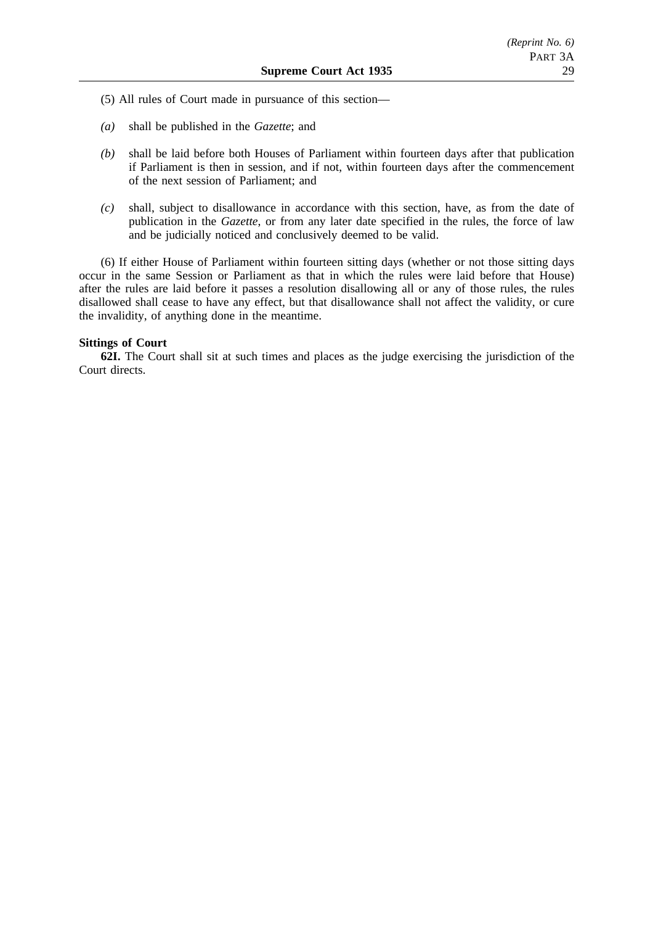- (5) All rules of Court made in pursuance of this section—
- *(a)* shall be published in the *Gazette*; and
- *(b)* shall be laid before both Houses of Parliament within fourteen days after that publication if Parliament is then in session, and if not, within fourteen days after the commencement of the next session of Parliament; and
- *(c)* shall, subject to disallowance in accordance with this section, have, as from the date of publication in the *Gazette*, or from any later date specified in the rules, the force of law and be judicially noticed and conclusively deemed to be valid.

(6) If either House of Parliament within fourteen sitting days (whether or not those sitting days occur in the same Session or Parliament as that in which the rules were laid before that House) after the rules are laid before it passes a resolution disallowing all or any of those rules, the rules disallowed shall cease to have any effect, but that disallowance shall not affect the validity, or cure the invalidity, of anything done in the meantime.

### **Sittings of Court**

**62I.** The Court shall sit at such times and places as the judge exercising the jurisdiction of the Court directs.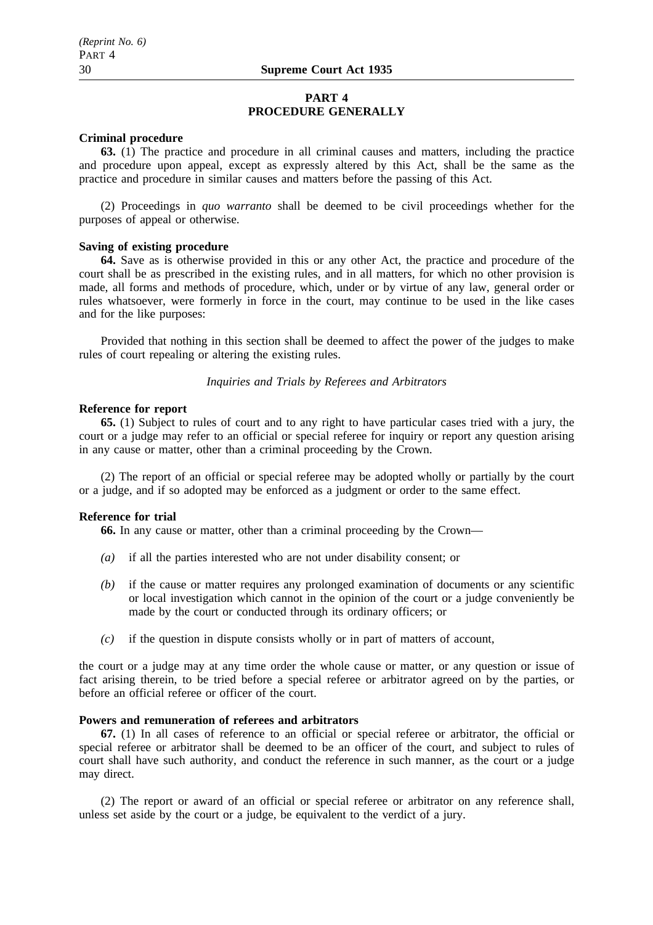### **PART 4 PROCEDURE GENERALLY**

#### **Criminal procedure**

**63.** (1) The practice and procedure in all criminal causes and matters, including the practice and procedure upon appeal, except as expressly altered by this Act, shall be the same as the practice and procedure in similar causes and matters before the passing of this Act.

(2) Proceedings in *quo warranto* shall be deemed to be civil proceedings whether for the purposes of appeal or otherwise.

### **Saving of existing procedure**

**64.** Save as is otherwise provided in this or any other Act, the practice and procedure of the court shall be as prescribed in the existing rules, and in all matters, for which no other provision is made, all forms and methods of procedure, which, under or by virtue of any law, general order or rules whatsoever, were formerly in force in the court, may continue to be used in the like cases and for the like purposes:

Provided that nothing in this section shall be deemed to affect the power of the judges to make rules of court repealing or altering the existing rules.

#### *Inquiries and Trials by Referees and Arbitrators*

### **Reference for report**

**65.** (1) Subject to rules of court and to any right to have particular cases tried with a jury, the court or a judge may refer to an official or special referee for inquiry or report any question arising in any cause or matter, other than a criminal proceeding by the Crown.

(2) The report of an official or special referee may be adopted wholly or partially by the court or a judge, and if so adopted may be enforced as a judgment or order to the same effect.

#### **Reference for trial**

**66.** In any cause or matter, other than a criminal proceeding by the Crown—

- *(a)* if all the parties interested who are not under disability consent; or
- *(b)* if the cause or matter requires any prolonged examination of documents or any scientific or local investigation which cannot in the opinion of the court or a judge conveniently be made by the court or conducted through its ordinary officers; or
- *(c)* if the question in dispute consists wholly or in part of matters of account,

the court or a judge may at any time order the whole cause or matter, or any question or issue of fact arising therein, to be tried before a special referee or arbitrator agreed on by the parties, or before an official referee or officer of the court.

### **Powers and remuneration of referees and arbitrators**

**67.** (1) In all cases of reference to an official or special referee or arbitrator, the official or special referee or arbitrator shall be deemed to be an officer of the court, and subject to rules of court shall have such authority, and conduct the reference in such manner, as the court or a judge may direct.

(2) The report or award of an official or special referee or arbitrator on any reference shall, unless set aside by the court or a judge, be equivalent to the verdict of a jury.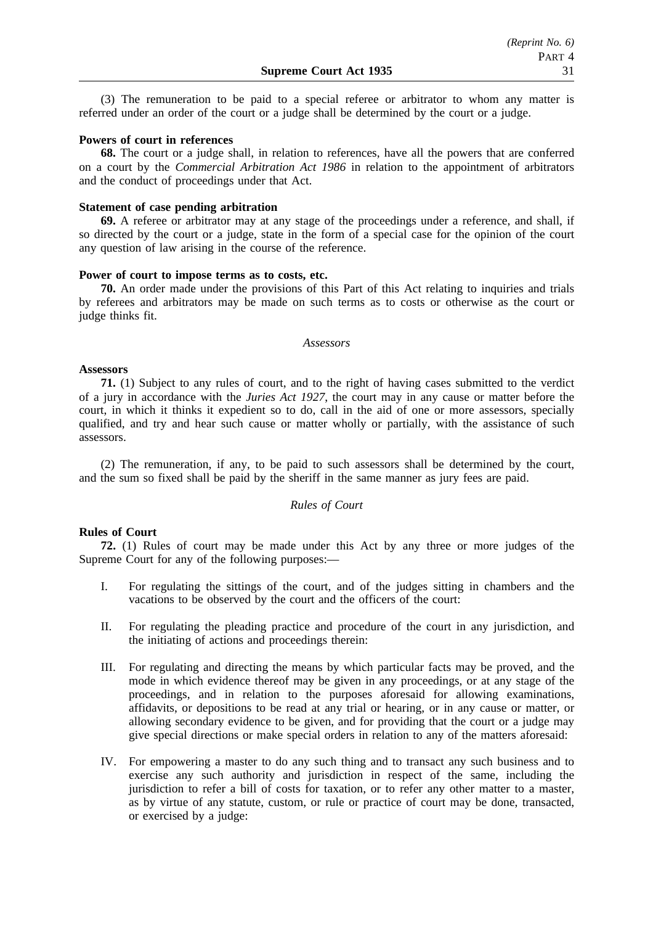(3) The remuneration to be paid to a special referee or arbitrator to whom any matter is referred under an order of the court or a judge shall be determined by the court or a judge.

### **Powers of court in references**

**68.** The court or a judge shall, in relation to references, have all the powers that are conferred on a court by the *Commercial Arbitration Act 1986* in relation to the appointment of arbitrators and the conduct of proceedings under that Act.

#### **Statement of case pending arbitration**

**69.** A referee or arbitrator may at any stage of the proceedings under a reference, and shall, if so directed by the court or a judge, state in the form of a special case for the opinion of the court any question of law arising in the course of the reference.

#### **Power of court to impose terms as to costs, etc.**

**70.** An order made under the provisions of this Part of this Act relating to inquiries and trials by referees and arbitrators may be made on such terms as to costs or otherwise as the court or judge thinks fit.

### *Assessors*

### **Assessors**

**71.** (1) Subject to any rules of court, and to the right of having cases submitted to the verdict of a jury in accordance with the *Juries Act 1927*, the court may in any cause or matter before the court, in which it thinks it expedient so to do, call in the aid of one or more assessors, specially qualified, and try and hear such cause or matter wholly or partially, with the assistance of such assessors.

(2) The remuneration, if any, to be paid to such assessors shall be determined by the court, and the sum so fixed shall be paid by the sheriff in the same manner as jury fees are paid.

### *Rules of Court*

### **Rules of Court**

**72.** (1) Rules of court may be made under this Act by any three or more judges of the Supreme Court for any of the following purposes:—

- I. For regulating the sittings of the court, and of the judges sitting in chambers and the vacations to be observed by the court and the officers of the court:
- II. For regulating the pleading practice and procedure of the court in any jurisdiction, and the initiating of actions and proceedings therein:
- III. For regulating and directing the means by which particular facts may be proved, and the mode in which evidence thereof may be given in any proceedings, or at any stage of the proceedings, and in relation to the purposes aforesaid for allowing examinations, affidavits, or depositions to be read at any trial or hearing, or in any cause or matter, or allowing secondary evidence to be given, and for providing that the court or a judge may give special directions or make special orders in relation to any of the matters aforesaid:
- IV. For empowering a master to do any such thing and to transact any such business and to exercise any such authority and jurisdiction in respect of the same, including the jurisdiction to refer a bill of costs for taxation, or to refer any other matter to a master, as by virtue of any statute, custom, or rule or practice of court may be done, transacted, or exercised by a judge: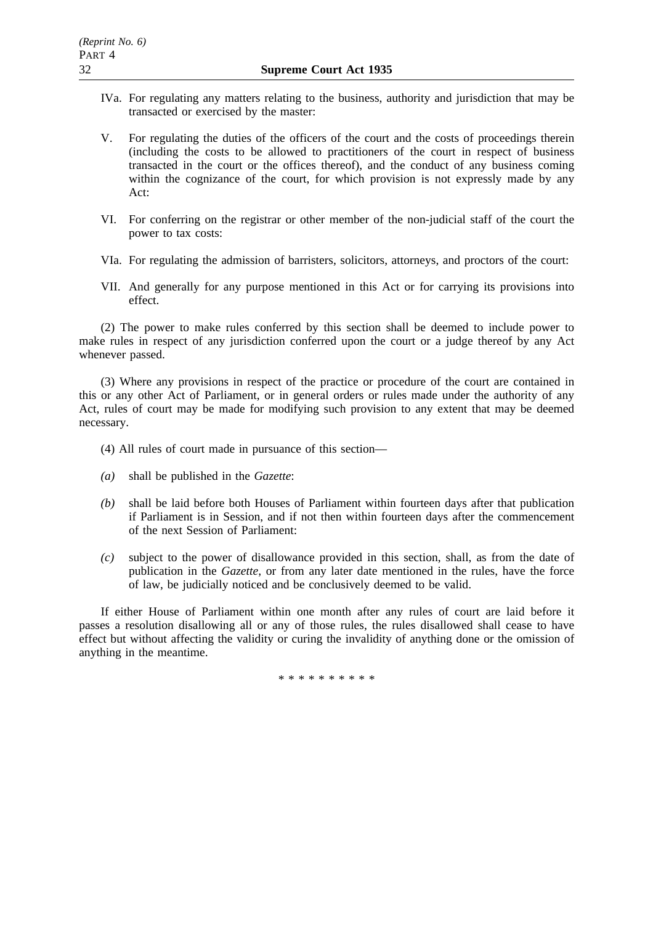- IVa. For regulating any matters relating to the business, authority and jurisdiction that may be transacted or exercised by the master:
- V. For regulating the duties of the officers of the court and the costs of proceedings therein (including the costs to be allowed to practitioners of the court in respect of business transacted in the court or the offices thereof), and the conduct of any business coming within the cognizance of the court, for which provision is not expressly made by any Act:
- VI. For conferring on the registrar or other member of the non-judicial staff of the court the power to tax costs:
- VIa. For regulating the admission of barristers, solicitors, attorneys, and proctors of the court:
- VII. And generally for any purpose mentioned in this Act or for carrying its provisions into effect.

(2) The power to make rules conferred by this section shall be deemed to include power to make rules in respect of any jurisdiction conferred upon the court or a judge thereof by any Act whenever passed.

(3) Where any provisions in respect of the practice or procedure of the court are contained in this or any other Act of Parliament, or in general orders or rules made under the authority of any Act, rules of court may be made for modifying such provision to any extent that may be deemed necessary.

- (4) All rules of court made in pursuance of this section—
- *(a)* shall be published in the *Gazette*:
- *(b)* shall be laid before both Houses of Parliament within fourteen days after that publication if Parliament is in Session, and if not then within fourteen days after the commencement of the next Session of Parliament:
- *(c)* subject to the power of disallowance provided in this section, shall, as from the date of publication in the *Gazette*, or from any later date mentioned in the rules, have the force of law, be judicially noticed and be conclusively deemed to be valid.

If either House of Parliament within one month after any rules of court are laid before it passes a resolution disallowing all or any of those rules, the rules disallowed shall cease to have effect but without affecting the validity or curing the invalidity of anything done or the omission of anything in the meantime.

\*\*\*\*\*\*\*\*\*\*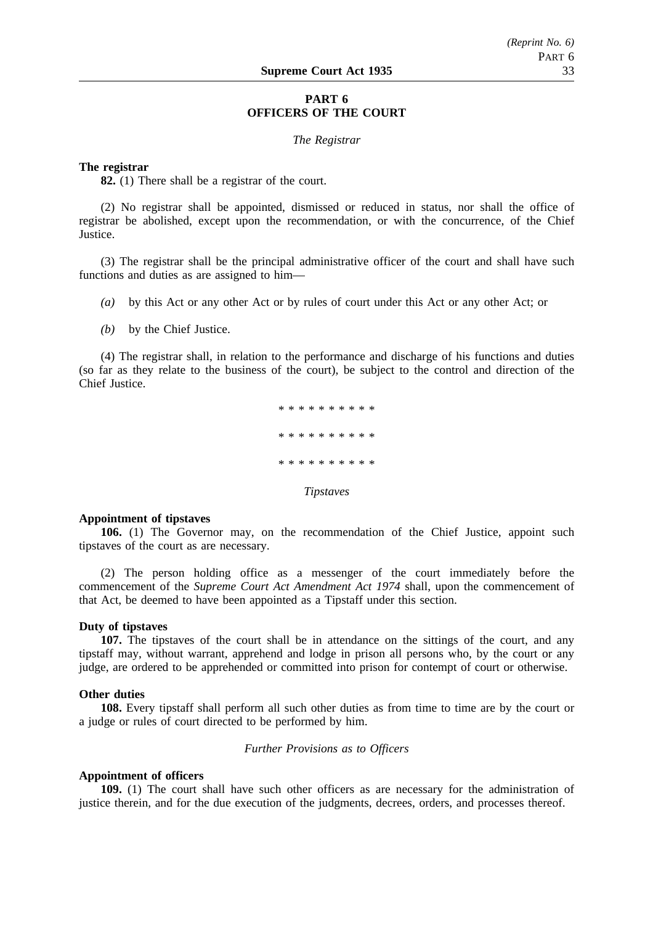### **PART 6 OFFICERS OF THE COURT**

#### *The Registrar*

#### **The registrar**

**82.** (1) There shall be a registrar of the court.

(2) No registrar shall be appointed, dismissed or reduced in status, nor shall the office of registrar be abolished, except upon the recommendation, or with the concurrence, of the Chief Justice.

(3) The registrar shall be the principal administrative officer of the court and shall have such functions and duties as are assigned to him—

- *(a)* by this Act or any other Act or by rules of court under this Act or any other Act; or
- *(b)* by the Chief Justice.

(4) The registrar shall, in relation to the performance and discharge of his functions and duties (so far as they relate to the business of the court), be subject to the control and direction of the Chief Justice.

> \*\*\*\*\*\*\*\*\*\* \*\*\*\*\*\*\*\*\*\* \*\*\*\*\*\*\*\*\*\*

# *Tipstaves*

### **Appointment of tipstaves**

**106.** (1) The Governor may, on the recommendation of the Chief Justice, appoint such tipstaves of the court as are necessary.

(2) The person holding office as a messenger of the court immediately before the commencement of the *Supreme Court Act Amendment Act 1974* shall, upon the commencement of that Act, be deemed to have been appointed as a Tipstaff under this section.

#### **Duty of tipstaves**

**107.** The tipstaves of the court shall be in attendance on the sittings of the court, and any tipstaff may, without warrant, apprehend and lodge in prison all persons who, by the court or any judge, are ordered to be apprehended or committed into prison for contempt of court or otherwise.

### **Other duties**

**108.** Every tipstaff shall perform all such other duties as from time to time are by the court or a judge or rules of court directed to be performed by him.

#### *Further Provisions as to Officers*

### **Appointment of officers**

**109.** (1) The court shall have such other officers as are necessary for the administration of justice therein, and for the due execution of the judgments, decrees, orders, and processes thereof.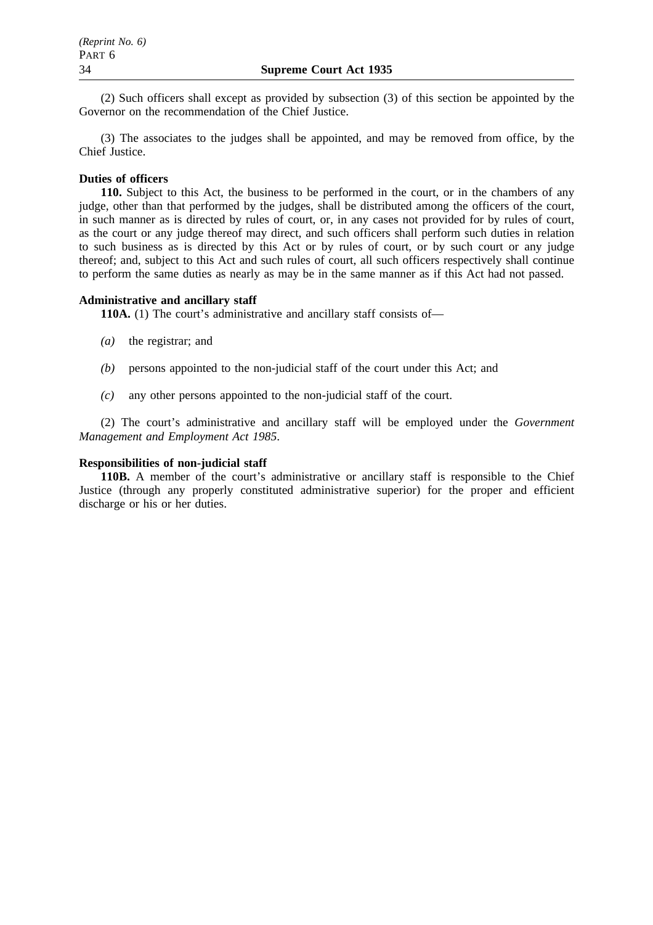(2) Such officers shall except as provided by subsection (3) of this section be appointed by the Governor on the recommendation of the Chief Justice.

(3) The associates to the judges shall be appointed, and may be removed from office, by the Chief Justice.

### **Duties of officers**

**110.** Subject to this Act, the business to be performed in the court, or in the chambers of any judge, other than that performed by the judges, shall be distributed among the officers of the court, in such manner as is directed by rules of court, or, in any cases not provided for by rules of court, as the court or any judge thereof may direct, and such officers shall perform such duties in relation to such business as is directed by this Act or by rules of court, or by such court or any judge thereof; and, subject to this Act and such rules of court, all such officers respectively shall continue to perform the same duties as nearly as may be in the same manner as if this Act had not passed.

### **Administrative and ancillary staff**

**110A.** (1) The court's administrative and ancillary staff consists of—

- *(a)* the registrar; and
- *(b)* persons appointed to the non-judicial staff of the court under this Act; and
- *(c)* any other persons appointed to the non-judicial staff of the court.

(2) The court's administrative and ancillary staff will be employed under the *Government Management and Employment Act 1985*.

# **Responsibilities of non-judicial staff**

**110B.** A member of the court's administrative or ancillary staff is responsible to the Chief Justice (through any properly constituted administrative superior) for the proper and efficient discharge or his or her duties.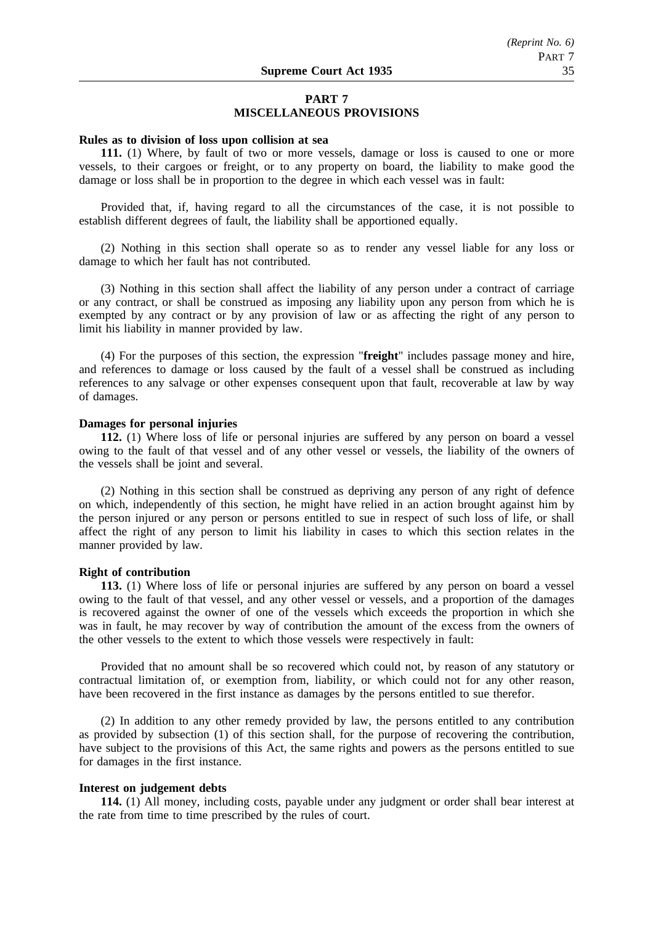# **PART 7 MISCELLANEOUS PROVISIONS**

#### **Rules as to division of loss upon collision at sea**

**111.** (1) Where, by fault of two or more vessels, damage or loss is caused to one or more vessels, to their cargoes or freight, or to any property on board, the liability to make good the damage or loss shall be in proportion to the degree in which each vessel was in fault:

Provided that, if, having regard to all the circumstances of the case, it is not possible to establish different degrees of fault, the liability shall be apportioned equally.

(2) Nothing in this section shall operate so as to render any vessel liable for any loss or damage to which her fault has not contributed.

(3) Nothing in this section shall affect the liability of any person under a contract of carriage or any contract, or shall be construed as imposing any liability upon any person from which he is exempted by any contract or by any provision of law or as affecting the right of any person to limit his liability in manner provided by law.

(4) For the purposes of this section, the expression "**freight**" includes passage money and hire, and references to damage or loss caused by the fault of a vessel shall be construed as including references to any salvage or other expenses consequent upon that fault, recoverable at law by way of damages.

### **Damages for personal injuries**

**112.** (1) Where loss of life or personal injuries are suffered by any person on board a vessel owing to the fault of that vessel and of any other vessel or vessels, the liability of the owners of the vessels shall be joint and several.

(2) Nothing in this section shall be construed as depriving any person of any right of defence on which, independently of this section, he might have relied in an action brought against him by the person injured or any person or persons entitled to sue in respect of such loss of life, or shall affect the right of any person to limit his liability in cases to which this section relates in the manner provided by law.

#### **Right of contribution**

**113.** (1) Where loss of life or personal injuries are suffered by any person on board a vessel owing to the fault of that vessel, and any other vessel or vessels, and a proportion of the damages is recovered against the owner of one of the vessels which exceeds the proportion in which she was in fault, he may recover by way of contribution the amount of the excess from the owners of the other vessels to the extent to which those vessels were respectively in fault:

Provided that no amount shall be so recovered which could not, by reason of any statutory or contractual limitation of, or exemption from, liability, or which could not for any other reason, have been recovered in the first instance as damages by the persons entitled to sue therefor.

(2) In addition to any other remedy provided by law, the persons entitled to any contribution as provided by subsection (1) of this section shall, for the purpose of recovering the contribution, have subject to the provisions of this Act, the same rights and powers as the persons entitled to sue for damages in the first instance.

### **Interest on judgement debts**

**114.** (1) All money, including costs, payable under any judgment or order shall bear interest at the rate from time to time prescribed by the rules of court.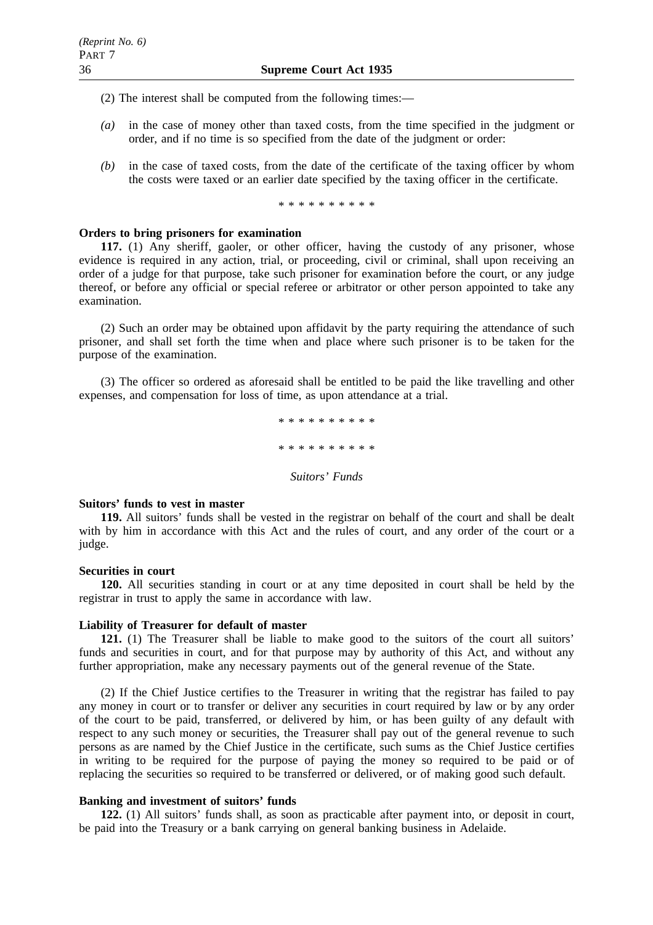- (2) The interest shall be computed from the following times:—
- *(a)* in the case of money other than taxed costs, from the time specified in the judgment or order, and if no time is so specified from the date of the judgment or order:
- *(b)* in the case of taxed costs, from the date of the certificate of the taxing officer by whom the costs were taxed or an earlier date specified by the taxing officer in the certificate.

\*\*\*\*\*\*\*\*\*\*

### **Orders to bring prisoners for examination**

**117.** (1) Any sheriff, gaoler, or other officer, having the custody of any prisoner, whose evidence is required in any action, trial, or proceeding, civil or criminal, shall upon receiving an order of a judge for that purpose, take such prisoner for examination before the court, or any judge thereof, or before any official or special referee or arbitrator or other person appointed to take any examination.

(2) Such an order may be obtained upon affidavit by the party requiring the attendance of such prisoner, and shall set forth the time when and place where such prisoner is to be taken for the purpose of the examination.

(3) The officer so ordered as aforesaid shall be entitled to be paid the like travelling and other expenses, and compensation for loss of time, as upon attendance at a trial.

> \*\*\*\*\*\*\*\*\*\* \*\*\*\*\*\*\*\*\*\*

### *Suitors' Funds*

### **Suitors' funds to vest in master**

**119.** All suitors' funds shall be vested in the registrar on behalf of the court and shall be dealt with by him in accordance with this Act and the rules of court, and any order of the court or a judge.

### **Securities in court**

**120.** All securities standing in court or at any time deposited in court shall be held by the registrar in trust to apply the same in accordance with law.

#### **Liability of Treasurer for default of master**

**121.** (1) The Treasurer shall be liable to make good to the suitors of the court all suitors' funds and securities in court, and for that purpose may by authority of this Act, and without any further appropriation, make any necessary payments out of the general revenue of the State.

(2) If the Chief Justice certifies to the Treasurer in writing that the registrar has failed to pay any money in court or to transfer or deliver any securities in court required by law or by any order of the court to be paid, transferred, or delivered by him, or has been guilty of any default with respect to any such money or securities, the Treasurer shall pay out of the general revenue to such persons as are named by the Chief Justice in the certificate, such sums as the Chief Justice certifies in writing to be required for the purpose of paying the money so required to be paid or of replacing the securities so required to be transferred or delivered, or of making good such default.

#### **Banking and investment of suitors' funds**

**122.** (1) All suitors' funds shall, as soon as practicable after payment into, or deposit in court, be paid into the Treasury or a bank carrying on general banking business in Adelaide.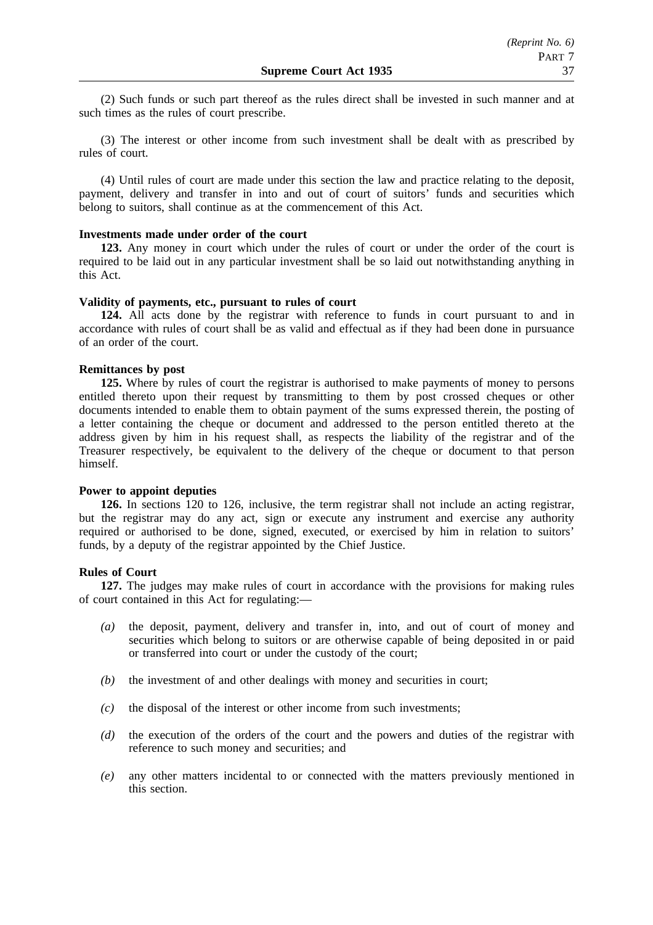(2) Such funds or such part thereof as the rules direct shall be invested in such manner and at such times as the rules of court prescribe.

(3) The interest or other income from such investment shall be dealt with as prescribed by rules of court.

(4) Until rules of court are made under this section the law and practice relating to the deposit, payment, delivery and transfer in into and out of court of suitors' funds and securities which belong to suitors, shall continue as at the commencement of this Act.

### **Investments made under order of the court**

**123.** Any money in court which under the rules of court or under the order of the court is required to be laid out in any particular investment shall be so laid out notwithstanding anything in this Act.

### **Validity of payments, etc., pursuant to rules of court**

**124.** All acts done by the registrar with reference to funds in court pursuant to and in accordance with rules of court shall be as valid and effectual as if they had been done in pursuance of an order of the court.

### **Remittances by post**

**125.** Where by rules of court the registrar is authorised to make payments of money to persons entitled thereto upon their request by transmitting to them by post crossed cheques or other documents intended to enable them to obtain payment of the sums expressed therein, the posting of a letter containing the cheque or document and addressed to the person entitled thereto at the address given by him in his request shall, as respects the liability of the registrar and of the Treasurer respectively, be equivalent to the delivery of the cheque or document to that person himself.

### **Power to appoint deputies**

**126.** In sections 120 to 126, inclusive, the term registrar shall not include an acting registrar, but the registrar may do any act, sign or execute any instrument and exercise any authority required or authorised to be done, signed, executed, or exercised by him in relation to suitors' funds, by a deputy of the registrar appointed by the Chief Justice.

### **Rules of Court**

**127.** The judges may make rules of court in accordance with the provisions for making rules of court contained in this Act for regulating:—

- *(a)* the deposit, payment, delivery and transfer in, into, and out of court of money and securities which belong to suitors or are otherwise capable of being deposited in or paid or transferred into court or under the custody of the court;
- *(b)* the investment of and other dealings with money and securities in court;
- *(c)* the disposal of the interest or other income from such investments;
- *(d)* the execution of the orders of the court and the powers and duties of the registrar with reference to such money and securities; and
- *(e)* any other matters incidental to or connected with the matters previously mentioned in this section.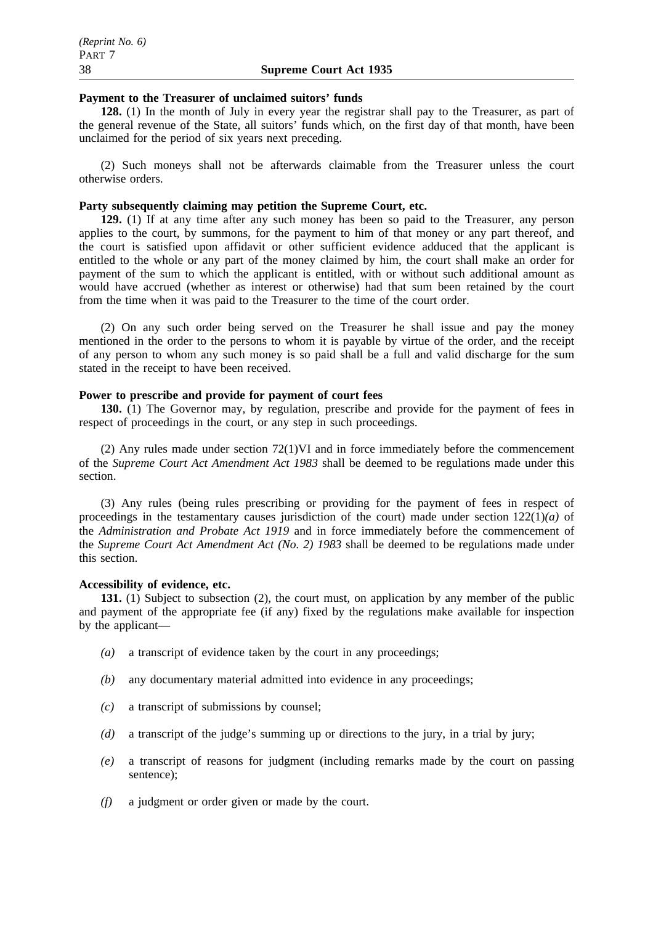#### **Payment to the Treasurer of unclaimed suitors' funds**

**128.** (1) In the month of July in every year the registrar shall pay to the Treasurer, as part of the general revenue of the State, all suitors' funds which, on the first day of that month, have been unclaimed for the period of six years next preceding.

(2) Such moneys shall not be afterwards claimable from the Treasurer unless the court otherwise orders.

#### **Party subsequently claiming may petition the Supreme Court, etc.**

**129.** (1) If at any time after any such money has been so paid to the Treasurer, any person applies to the court, by summons, for the payment to him of that money or any part thereof, and the court is satisfied upon affidavit or other sufficient evidence adduced that the applicant is entitled to the whole or any part of the money claimed by him, the court shall make an order for payment of the sum to which the applicant is entitled, with or without such additional amount as would have accrued (whether as interest or otherwise) had that sum been retained by the court from the time when it was paid to the Treasurer to the time of the court order.

(2) On any such order being served on the Treasurer he shall issue and pay the money mentioned in the order to the persons to whom it is payable by virtue of the order, and the receipt of any person to whom any such money is so paid shall be a full and valid discharge for the sum stated in the receipt to have been received.

### **Power to prescribe and provide for payment of court fees**

**130.** (1) The Governor may, by regulation, prescribe and provide for the payment of fees in respect of proceedings in the court, or any step in such proceedings.

(2) Any rules made under section 72(1)VI and in force immediately before the commencement of the *Supreme Court Act Amendment Act 1983* shall be deemed to be regulations made under this section.

(3) Any rules (being rules prescribing or providing for the payment of fees in respect of proceedings in the testamentary causes jurisdiction of the court) made under section  $122(1)(a)$  of the *Administration and Probate Act 1919* and in force immediately before the commencement of the *Supreme Court Act Amendment Act (No. 2) 1983* shall be deemed to be regulations made under this section.

#### **Accessibility of evidence, etc.**

**131.** (1) Subject to subsection (2), the court must, on application by any member of the public and payment of the appropriate fee (if any) fixed by the regulations make available for inspection by the applicant—

- *(a)* a transcript of evidence taken by the court in any proceedings;
- *(b)* any documentary material admitted into evidence in any proceedings;
- *(c)* a transcript of submissions by counsel;
- *(d)* a transcript of the judge's summing up or directions to the jury, in a trial by jury;
- *(e)* a transcript of reasons for judgment (including remarks made by the court on passing sentence);
- *(f)* a judgment or order given or made by the court.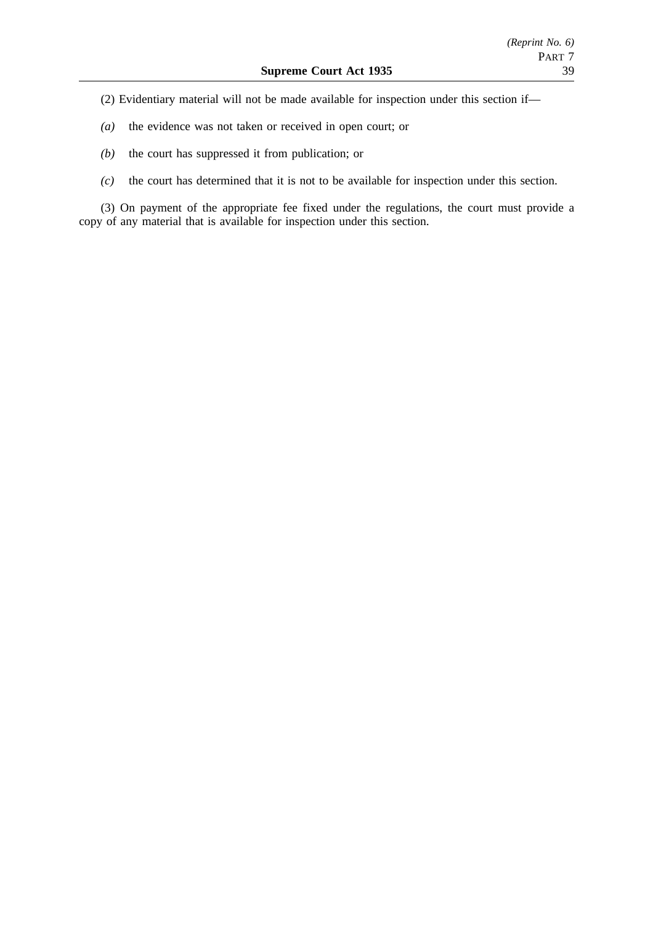(2) Evidentiary material will not be made available for inspection under this section if—

- *(a)* the evidence was not taken or received in open court; or
- *(b)* the court has suppressed it from publication; or
- *(c)* the court has determined that it is not to be available for inspection under this section.

(3) On payment of the appropriate fee fixed under the regulations, the court must provide a copy of any material that is available for inspection under this section.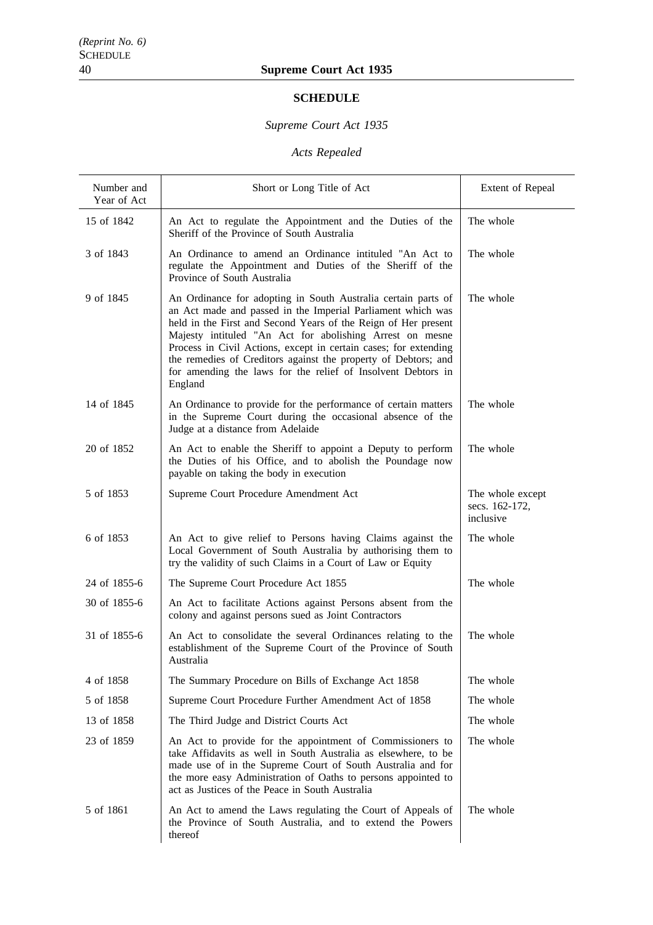# **SCHEDULE**

# *Supreme Court Act 1935*

# *Acts Repealed*

| Number and<br>Year of Act | Short or Long Title of Act                                                                                                                                                                                                                                                                                                                                                                                                                                                  | Extent of Repeal                                |
|---------------------------|-----------------------------------------------------------------------------------------------------------------------------------------------------------------------------------------------------------------------------------------------------------------------------------------------------------------------------------------------------------------------------------------------------------------------------------------------------------------------------|-------------------------------------------------|
| 15 of 1842                | An Act to regulate the Appointment and the Duties of the<br>Sheriff of the Province of South Australia                                                                                                                                                                                                                                                                                                                                                                      | The whole                                       |
| 3 of 1843                 | An Ordinance to amend an Ordinance intituled "An Act to<br>regulate the Appointment and Duties of the Sheriff of the<br>Province of South Australia                                                                                                                                                                                                                                                                                                                         | The whole                                       |
| 9 of 1845                 | An Ordinance for adopting in South Australia certain parts of<br>an Act made and passed in the Imperial Parliament which was<br>held in the First and Second Years of the Reign of Her present<br>Majesty intituled "An Act for abolishing Arrest on mesne<br>Process in Civil Actions, except in certain cases; for extending<br>the remedies of Creditors against the property of Debtors; and<br>for amending the laws for the relief of Insolvent Debtors in<br>England | The whole                                       |
| 14 of 1845                | An Ordinance to provide for the performance of certain matters<br>in the Supreme Court during the occasional absence of the<br>Judge at a distance from Adelaide                                                                                                                                                                                                                                                                                                            | The whole                                       |
| 20 of 1852                | An Act to enable the Sheriff to appoint a Deputy to perform<br>the Duties of his Office, and to abolish the Poundage now<br>payable on taking the body in execution                                                                                                                                                                                                                                                                                                         | The whole                                       |
| 5 of 1853                 | Supreme Court Procedure Amendment Act                                                                                                                                                                                                                                                                                                                                                                                                                                       | The whole except<br>secs. 162-172,<br>inclusive |
| 6 of 1853                 | An Act to give relief to Persons having Claims against the<br>Local Government of South Australia by authorising them to<br>try the validity of such Claims in a Court of Law or Equity                                                                                                                                                                                                                                                                                     | The whole                                       |
| 24 of 1855-6              | The Supreme Court Procedure Act 1855                                                                                                                                                                                                                                                                                                                                                                                                                                        | The whole                                       |
| 30 of 1855-6              | An Act to facilitate Actions against Persons absent from the<br>colony and against persons sued as Joint Contractors                                                                                                                                                                                                                                                                                                                                                        |                                                 |
| 31 of 1855-6              | An Act to consolidate the several Ordinances relating to the<br>establishment of the Supreme Court of the Province of South<br>Australia                                                                                                                                                                                                                                                                                                                                    | The whole                                       |
| 4 of 1858                 | The Summary Procedure on Bills of Exchange Act 1858                                                                                                                                                                                                                                                                                                                                                                                                                         | The whole                                       |
| 5 of 1858                 | Supreme Court Procedure Further Amendment Act of 1858                                                                                                                                                                                                                                                                                                                                                                                                                       | The whole                                       |
| 13 of 1858                | The Third Judge and District Courts Act                                                                                                                                                                                                                                                                                                                                                                                                                                     | The whole                                       |
| 23 of 1859                | An Act to provide for the appointment of Commissioners to<br>take Affidavits as well in South Australia as elsewhere, to be<br>made use of in the Supreme Court of South Australia and for<br>the more easy Administration of Oaths to persons appointed to<br>act as Justices of the Peace in South Australia                                                                                                                                                              | The whole                                       |
| 5 of 1861                 | An Act to amend the Laws regulating the Court of Appeals of<br>the Province of South Australia, and to extend the Powers<br>thereof                                                                                                                                                                                                                                                                                                                                         | The whole                                       |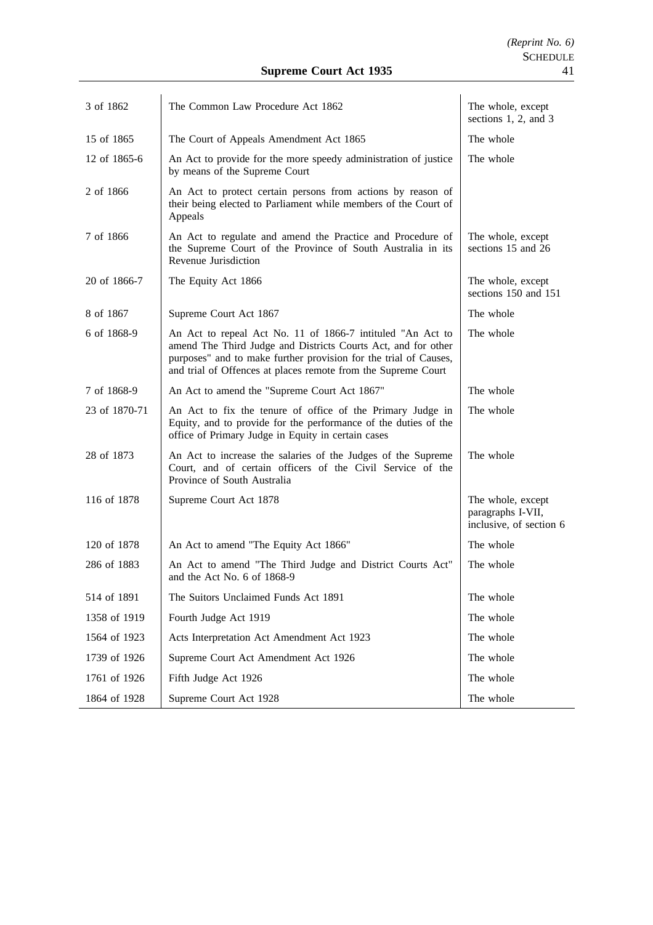$\overline{\phantom{a}}$ 

| 3 of 1862     | The Common Law Procedure Act 1862                                                                                                                                                                                                                                | The whole, except<br>sections 1, 2, and 3                         |
|---------------|------------------------------------------------------------------------------------------------------------------------------------------------------------------------------------------------------------------------------------------------------------------|-------------------------------------------------------------------|
| 15 of 1865    | The Court of Appeals Amendment Act 1865                                                                                                                                                                                                                          | The whole                                                         |
| 12 of 1865-6  | An Act to provide for the more speedy administration of justice<br>by means of the Supreme Court                                                                                                                                                                 | The whole                                                         |
| 2 of 1866     | An Act to protect certain persons from actions by reason of<br>their being elected to Parliament while members of the Court of<br>Appeals                                                                                                                        |                                                                   |
| 7 of 1866     | An Act to regulate and amend the Practice and Procedure of<br>the Supreme Court of the Province of South Australia in its<br>Revenue Jurisdiction                                                                                                                | The whole, except<br>sections 15 and 26                           |
| 20 of 1866-7  | The Equity Act 1866                                                                                                                                                                                                                                              | The whole, except<br>sections 150 and 151                         |
| 8 of 1867     | Supreme Court Act 1867                                                                                                                                                                                                                                           | The whole                                                         |
| 6 of 1868-9   | An Act to repeal Act No. 11 of 1866-7 intituled "An Act to<br>amend The Third Judge and Districts Courts Act, and for other<br>purposes" and to make further provision for the trial of Causes,<br>and trial of Offences at places remote from the Supreme Court | The whole                                                         |
| 7 of 1868-9   | An Act to amend the "Supreme Court Act 1867"                                                                                                                                                                                                                     | The whole                                                         |
| 23 of 1870-71 | An Act to fix the tenure of office of the Primary Judge in<br>Equity, and to provide for the performance of the duties of the<br>office of Primary Judge in Equity in certain cases                                                                              | The whole                                                         |
| 28 of 1873    | An Act to increase the salaries of the Judges of the Supreme<br>Court, and of certain officers of the Civil Service of the<br>Province of South Australia                                                                                                        | The whole                                                         |
| 116 of 1878   | Supreme Court Act 1878                                                                                                                                                                                                                                           | The whole, except<br>paragraphs I-VII,<br>inclusive, of section 6 |
| 120 of 1878   | An Act to amend "The Equity Act 1866"                                                                                                                                                                                                                            | The whole                                                         |
| 286 of 1883   | An Act to amend "The Third Judge and District Courts Act"<br>and the Act No. 6 of 1868-9                                                                                                                                                                         | The whole                                                         |
| 514 of 1891   | The Suitors Unclaimed Funds Act 1891                                                                                                                                                                                                                             | The whole                                                         |
| 1358 of 1919  | Fourth Judge Act 1919                                                                                                                                                                                                                                            | The whole                                                         |
| 1564 of 1923  | Acts Interpretation Act Amendment Act 1923                                                                                                                                                                                                                       | The whole                                                         |
| 1739 of 1926  | Supreme Court Act Amendment Act 1926                                                                                                                                                                                                                             | The whole                                                         |
| 1761 of 1926  | Fifth Judge Act 1926                                                                                                                                                                                                                                             | The whole                                                         |
| 1864 of 1928  | Supreme Court Act 1928                                                                                                                                                                                                                                           | The whole                                                         |
|               |                                                                                                                                                                                                                                                                  |                                                                   |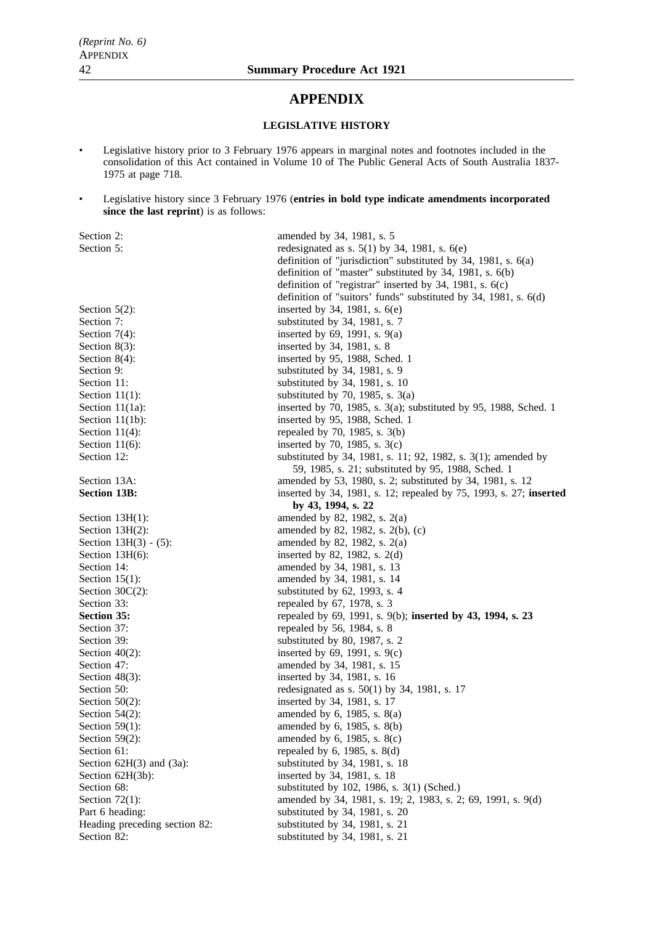# **APPENDIX**

### **LEGISLATIVE HISTORY**

- Legislative history prior to 3 February 1976 appears in marginal notes and footnotes included in the consolidation of this Act contained in Volume 10 of The Public General Acts of South Australia 1837- 1975 at page 718.
- Legislative history since 3 February 1976 (**entries in bold type indicate amendments incorporated since the last reprint**) is as follows:

| Section 2:                    | amended by 34, 1981, s. 5                                           |
|-------------------------------|---------------------------------------------------------------------|
| Section 5:                    | redesignated as s. $5(1)$ by 34, 1981, s. $6(e)$                    |
|                               | definition of "jurisdiction" substituted by 34, 1981, s. $6(a)$     |
|                               | definition of "master" substituted by 34, 1981, s. 6(b)             |
|                               | definition of "registrar" inserted by 34, 1981, s. 6(c)             |
|                               | definition of "suitors' funds" substituted by 34, 1981, s. 6(d)     |
| Section $5(2)$ :              | inserted by 34, 1981, s. $6(e)$                                     |
| Section 7:                    | substituted by 34, 1981, s. 7                                       |
| Section $7(4)$ :              | inserted by $69$ , 1991, s. $9(a)$                                  |
| Section $8(3)$ :              | inserted by 34, 1981, s. 8                                          |
| Section $8(4)$ :              | inserted by 95, 1988, Sched. 1                                      |
| Section 9:                    | substituted by 34, 1981, s. 9                                       |
| Section 11:                   | substituted by 34, 1981, s. 10                                      |
| Section $11(1)$ :             | substituted by 70, 1985, s. $3(a)$                                  |
| Section $11(1a)$ :            | inserted by 70, 1985, s. $3(a)$ ; substituted by 95, 1988, Sched. 1 |
| Section $11(1b)$ :            | inserted by 95, 1988, Sched. 1                                      |
| Section $11(4)$ :             | repealed by 70, 1985, s. 3(b)                                       |
| Section $11(6)$ :             | inserted by 70, 1985, s. 3(c)                                       |
| Section 12:                   | substituted by 34, 1981, s. 11; 92, 1982, s. 3(1); amended by       |
|                               | 59, 1985, s. 21; substituted by 95, 1988, Sched. 1                  |
| Section 13A:                  | amended by 53, 1980, s. 2; substituted by 34, 1981, s. 12           |
| <b>Section 13B:</b>           | inserted by 34, 1981, s. 12; repealed by 75, 1993, s. 27; inserted  |
|                               | by 43, 1994, s. 22                                                  |
| Section $13H(1)$ :            | amended by 82, 1982, s. 2(a)                                        |
| Section $13H(2)$ :            | amended by 82, 1982, s. 2(b), (c)                                   |
| Section $13H(3) - (5)$ :      | amended by 82, 1982, s. $2(a)$                                      |
| Section $13H(6)$ :            | inserted by 82, 1982, s. $2(d)$                                     |
| Section 14:                   | amended by 34, 1981, s. 13                                          |
| Section $15(1)$ :             | amended by 34, 1981, s. 14                                          |
| Section $30C(2)$ :            | substituted by 62, 1993, s. 4                                       |
| Section 33:                   | repealed by 67, 1978, s. 3                                          |
| <b>Section 35:</b>            | repealed by 69, 1991, s. 9(b); inserted by 43, 1994, s. 23          |
| Section 37:                   | repealed by 56, 1984, s. 8                                          |
| Section 39:                   | substituted by 80, 1987, s. 2                                       |
| Section $40(2)$ :             | inserted by 69, 1991, s. 9(c)                                       |
| Section 47:                   | amended by 34, 1981, s. 15                                          |
| Section $48(3)$ :             | inserted by 34, 1981, s. 16                                         |
| Section 50:                   | redesignated as s. $50(1)$ by 34, 1981, s. 17                       |
| Section $50(2)$ :             | inserted by 34, 1981, s. 17                                         |
| Section $54(2)$ :             | amended by $6$ , 1985, s. $8(a)$                                    |
| Section $59(1)$ :             | amended by 6, 1985, s. 8(b)                                         |
| Section $59(2)$ :             | amended by $6$ , 1985, s. $8(c)$                                    |
| Section 61:                   | repealed by $6$ , 1985, s. $8(d)$                                   |
| Section $62H(3)$ and $(3a)$ : | substituted by 34, 1981, s. 18                                      |
| Section 62H(3b):              | inserted by 34, 1981, s. 18                                         |
| Section 68:                   | substituted by 102, 1986, s. 3(1) (Sched.)                          |
| Section $72(1)$ :             | amended by 34, 1981, s. 19; 2, 1983, s. 2; 69, 1991, s. 9(d)        |
| Part 6 heading:               | substituted by 34, 1981, s. 20                                      |
| Heading preceding section 82: | substituted by 34, 1981, s. 21                                      |
| Section 82:                   | substituted by 34, 1981, s. 21                                      |
|                               |                                                                     |